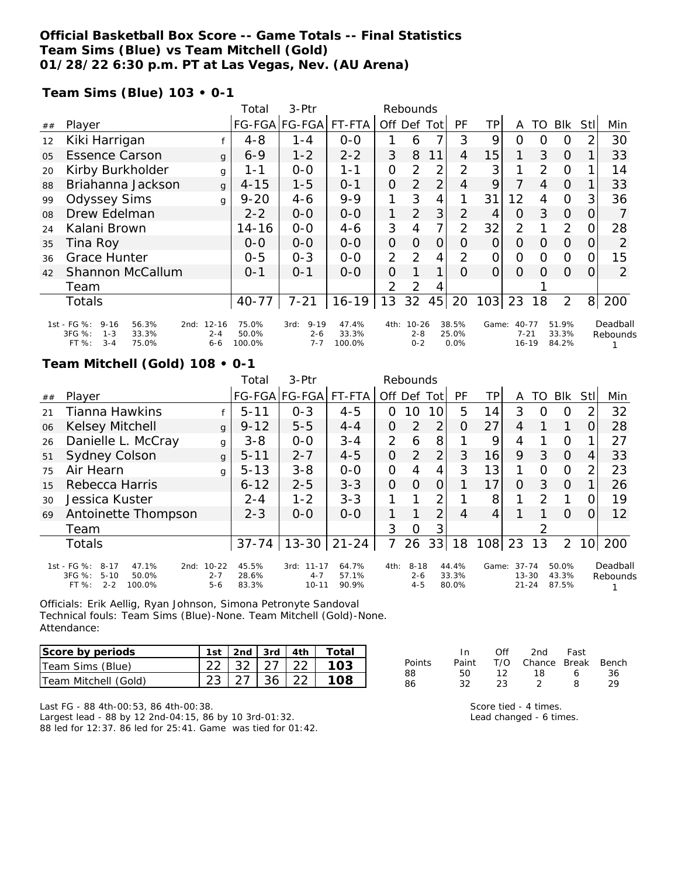### **Official Basketball Box Score -- Game Totals -- Final Statistics Team Sims (Blue) vs Team Mitchell (Gold) 01/28/22 6:30 p.m. PT at Las Vegas, Nev. (AU Arena)**

**Team Sims (Blue) 103 • 0-1**

|    |                                                                                                                      |              | Total                    | 3-Ptr                                  | Rebounds                 |             |                                  |                |                        |          |                                    |          |                         |          |                      |
|----|----------------------------------------------------------------------------------------------------------------------|--------------|--------------------------|----------------------------------------|--------------------------|-------------|----------------------------------|----------------|------------------------|----------|------------------------------------|----------|-------------------------|----------|----------------------|
| ## | Player                                                                                                               |              |                          | FG-FGA FG-FGA                          | FT-FTA                   | Off Def Tot |                                  |                | PF                     | ΤP       | A                                  | TO.      | Blk                     | Stll     | Min                  |
| 12 | Kiki Harrigan                                                                                                        |              | $4 - 8$                  | 1 - 4                                  | $0-0$                    |             | 6                                |                | 3                      | 9        | $\Omega$                           | ∩        | $\Omega$                |          | 30                   |
| 05 | <b>Essence Carson</b>                                                                                                | $\mathbf{q}$ | $6 - 9$                  | $1 - 2$                                | $2 - 2$                  | 3           | 8                                | 11             | 4                      | 15       |                                    | 3        | $\Omega$                |          | 33                   |
| 20 | Kirby Burkholder                                                                                                     | g            | 1 - 1                    | $0 - 0$                                | 1-1                      | $\Omega$    | $\overline{2}$                   | $\overline{2}$ | 2                      | 3        |                                    | 2        | $\Omega$                |          | 14                   |
| 88 | Briahanna Jackson                                                                                                    | $\mathbf{q}$ | $4 - 15$                 | $1 - 5$                                | $O - 1$                  | $\Omega$    | $\mathcal{P}$                    | 2              | 4                      | 9        | 7                                  | 4        | $\Omega$                |          | 33                   |
| 99 | <b>Odyssey Sims</b>                                                                                                  | g            | $9 - 20$                 | $4 - 6$                                | $9 - 9$                  |             | 3                                | 4              |                        | 31       | 12                                 | 4        | $\Omega$                | 3        | 36                   |
| 08 | Drew Edelman                                                                                                         |              | $2 - 2$                  | $O-O$                                  | $0 - 0$                  |             | 2                                | 3              | 2                      | 4        | $\Omega$                           | 3        | $\Omega$                | 0        |                      |
| 24 | Kalani Brown                                                                                                         |              | 14-16                    | $0 - 0$                                | $4 - 6$                  | 3           | 4                                | 7              | $\mathcal{P}$          | 32       | 2                                  |          | 2                       | O        | 28                   |
| 35 | Tina Roy                                                                                                             |              | $O-O$                    | $0 - 0$                                | $0 - 0$                  | $\Omega$    | $\Omega$                         | $\overline{O}$ | $\Omega$               | $\Omega$ | $\Omega$                           | $\Omega$ | $\Omega$                | $\Omega$ | 2                    |
| 36 | Grace Hunter                                                                                                         |              | $0 - 5$                  | $0 - 3$                                | $0 - 0$                  | 2           | 2                                | 4              | 2                      | $\Omega$ | $\Omega$                           | $\Omega$ | $\Omega$                |          | 15                   |
| 42 | Shannon McCallum                                                                                                     |              | $0 - 1$                  | $O - 1$                                | $0 - 0$                  | 0           |                                  |                | $\Omega$               | $\Omega$ | $\Omega$                           | $\Omega$ | $\Omega$                | $\Omega$ | 2                    |
|    | Team                                                                                                                 |              |                          |                                        |                          | 2           | 2                                | 4              |                        |          |                                    |          |                         |          |                      |
|    | Totals                                                                                                               |              | $40 - 77$                | $7 - 21$                               | $16 - 19$                | 13          | 32                               | 45             | 20                     | 103      | 23                                 | 18       | 2                       | 8        | 200                  |
|    | 1st - FG %:<br>$9 - 16$<br>56.3%<br>2nd: 12-16<br>3FG %:<br>33.3%<br>$1 - 3$<br>$3 - 4$<br>FT %:<br>75.0%<br>$6 - 6$ | $2 - 4$      | 75.0%<br>50.0%<br>100.0% | $9 - 19$<br>3rd:<br>$2 - 6$<br>$7 - 7$ | 47.4%<br>33.3%<br>100.0% |             | 4th: 10-26<br>$2 - 8$<br>$0 - 2$ |                | 38.5%<br>25.0%<br>0.0% | Game:    | $40 - 77$<br>$7 - 21$<br>$16 - 19$ |          | 51.9%<br>33.3%<br>84.2% |          | Deadball<br>Rebounds |

#### **Team Mitchell (Gold) 108 • 0-1**

|    |                                                                                                       |                                 | Total                   | 3-Ptr                                     | Rebounds                |                |                                |                |                         |        |                                     |    |                         |     |                      |
|----|-------------------------------------------------------------------------------------------------------|---------------------------------|-------------------------|-------------------------------------------|-------------------------|----------------|--------------------------------|----------------|-------------------------|--------|-------------------------------------|----|-------------------------|-----|----------------------|
| ## | Player                                                                                                |                                 |                         | FG-FGA FG-FGA                             | FT-FTA                  | Off Def        |                                | Tot            | PF                      | TP     | A                                   | TO | <b>Blk</b>              | Stl | Min                  |
| 21 | <b>Tianna Hawkins</b>                                                                                 |                                 | $5 - 11$                | $O - 3$                                   | $4 - 5$                 | 0              | 10                             | 10             | 5                       | 14     | 3                                   | Ω  | O                       | ⌒   | 32                   |
| 06 | Kelsey Mitchell                                                                                       | $\mathbf{q}$                    | $9 - 12$                | $5 - 5$                                   | $4 - 4$                 | 0              | 2                              | 2              | Ο                       | 27     | 4                                   |    |                         | Ω   | 28                   |
| 26 | Danielle L. McCray                                                                                    | g                               | $3 - 8$                 | $0 - 0$                                   | $3 - 4$                 | $\overline{2}$ | 6                              | 8              |                         | 9      | 4                                   |    | O                       |     | 27                   |
| 51 | <b>Sydney Colson</b>                                                                                  | $\mathbf{q}$                    | $5 - 11$                | $2 - 7$                                   | $4 - 5$                 | $\overline{O}$ | 2                              | 2              | 3                       | 16     | 9                                   | 3  | $\Omega$                | 4   | 33                   |
| 75 | Air Hearn                                                                                             | g                               | $5 - 13$                | $3 - 8$                                   | $O - O$                 | $\overline{O}$ | 4                              | 4              | 3                       | 13     | 1                                   | Ω  | 0                       | 2   | 23                   |
| 15 | Rebecca Harris                                                                                        |                                 | $6 - 12$                | $2 - 5$                                   | $3 - 3$                 | $\Omega$       | O                              | $\Omega$       |                         | 17     | 0                                   | 3  | $\Omega$                |     | 26                   |
| 30 | Jessica Kuster                                                                                        |                                 | $2 - 4$                 | $1 - 2$                                   | $3 - 3$                 |                |                                | 2              |                         | 8      | 1                                   | 2  |                         |     | 19                   |
| 69 | Antoinette Thompson                                                                                   |                                 | $2 - 3$                 | $0 - 0$                                   | $0 - 0$                 |                |                                | $\overline{2}$ | 4                       | 4      |                                     |    | $\Omega$                | 0   | 12                   |
|    | Team                                                                                                  |                                 |                         |                                           |                         | 3              | Ο                              | 3              |                         |        |                                     | っ  |                         |     |                      |
|    | Totals                                                                                                |                                 | 37-74                   | $13 - 30$                                 | $21 - 24$               | 7              | 26                             | 33             | 18                      | 108 23 |                                     | 13 | $\overline{2}$          | 10  | 200                  |
|    | 1st - FG %:<br>$8 - 17$<br>47.1%<br>2nd:<br>3FG %:<br>$5 - 10$<br>50.0%<br>$2 - 2$<br>FT %:<br>100.0% | $10 - 22$<br>$2 - 7$<br>$5 - 6$ | 45.5%<br>28.6%<br>83.3% | $11 - 17$<br>3rd:<br>$4 - 7$<br>$10 - 11$ | 64.7%<br>57.1%<br>90.9% | 4th:           | $8 - 18$<br>$2 - 6$<br>$4 - 5$ |                | 44.4%<br>33.3%<br>80.0% | Game:  | $37 - 74$<br>$13 - 30$<br>$21 - 24$ |    | 50.0%<br>43.3%<br>87.5% |     | Deadball<br>Rebounds |

Officials: Erik Aellig, Ryan Johnson, Simona Petronyte Sandoval Technical fouls: Team Sims (Blue)-None. Team Mitchell (Gold)-None. Attendance:

| Score by periods     |                   |  | 1st 2nd 3rd 4th Total |
|----------------------|-------------------|--|-----------------------|
| Team Sims (Blue)     | 22 32 27 22       |  | -103                  |
| Team Mitchell (Gold) | 23   27   36   22 |  |                       |

| In.   | ∩ff |               |    |                                    |
|-------|-----|---------------|----|------------------------------------|
| Paint |     |               |    |                                    |
| 50.   |     | 18            | 6  | -36                                |
| 32    | 23. | $\mathcal{L}$ | 8  | 29                                 |
|       |     |               | 12 | 2nd Fast<br>T/O Chance Break Bench |

Last FG - 88 4th-00:53, 86 4th-00:38. Largest lead - 88 by 12 2nd-04:15, 86 by 10 3rd-01:32. 88 led for 12:37. 86 led for 25:41. Game was tied for 01:42. Score tied - 4 times. Lead changed - 6 times.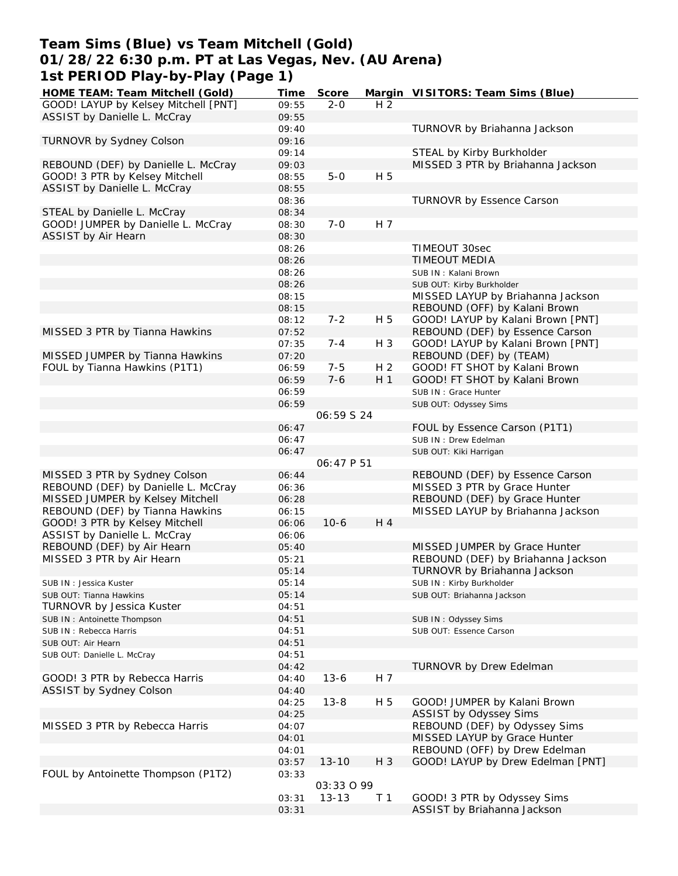## **Team Sims (Blue) vs Team Mitchell (Gold) 01/28/22 6:30 p.m. PT at Las Vegas, Nev. (AU Arena) 1st PERIOD Play-by-Play (Page 1)**

| HOME TEAM: Team Mitchell (Gold)      | Time  | Score             |                | Margin VISITORS: Team Sims (Blue)  |
|--------------------------------------|-------|-------------------|----------------|------------------------------------|
| GOOD! LAYUP by Kelsey Mitchell [PNT] | 09:55 | $2 - 0$           | H <sub>2</sub> |                                    |
| ASSIST by Danielle L. McCray         | 09:55 |                   |                |                                    |
|                                      | 09:40 |                   |                | TURNOVR by Briahanna Jackson       |
| TURNOVR by Sydney Colson             | 09:16 |                   |                |                                    |
|                                      | 09:14 |                   |                | STEAL by Kirby Burkholder          |
| REBOUND (DEF) by Danielle L. McCray  | 09:03 |                   |                | MISSED 3 PTR by Briahanna Jackson  |
| GOOD! 3 PTR by Kelsey Mitchell       | 08:55 | $5-0$             | H 5            |                                    |
| ASSIST by Danielle L. McCray         | 08:55 |                   |                |                                    |
|                                      | 08:36 |                   |                | TURNOVR by Essence Carson          |
| STEAL by Danielle L. McCray          | 08:34 |                   |                |                                    |
| GOOD! JUMPER by Danielle L. McCray   | 08:30 | $7 - 0$           | H 7            |                                    |
| ASSIST by Air Hearn                  | 08:30 |                   |                |                                    |
|                                      | 08:26 |                   |                | TIMEOUT 30sec                      |
|                                      |       |                   |                |                                    |
|                                      | 08:26 |                   |                | <b>TIMEOUT MEDIA</b>               |
|                                      | 08:26 |                   |                | SUB IN: Kalani Brown               |
|                                      | 08:26 |                   |                | SUB OUT: Kirby Burkholder          |
|                                      | 08:15 |                   |                | MISSED LAYUP by Briahanna Jackson  |
|                                      | 08:15 |                   |                | REBOUND (OFF) by Kalani Brown      |
|                                      | 08:12 | $7 - 2$           | H 5            | GOOD! LAYUP by Kalani Brown [PNT]  |
| MISSED 3 PTR by Tianna Hawkins       | 07:52 |                   |                | REBOUND (DEF) by Essence Carson    |
|                                      | 07:35 | $7 - 4$           | H 3            | GOOD! LAYUP by Kalani Brown [PNT]  |
| MISSED JUMPER by Tianna Hawkins      | 07:20 |                   |                | REBOUND (DEF) by (TEAM)            |
| FOUL by Tianna Hawkins (P1T1)        | 06:59 | $7 - 5$           | H <sub>2</sub> | GOOD! FT SHOT by Kalani Brown      |
|                                      | 06:59 | $7 - 6$           | H 1            | GOOD! FT SHOT by Kalani Brown      |
|                                      | 06:59 |                   |                | SUB IN: Grace Hunter               |
|                                      | 06:59 |                   |                | SUB OUT: Odyssey Sims              |
|                                      |       | <i>06:59 S 24</i> |                |                                    |
|                                      | 06:47 |                   |                | FOUL by Essence Carson (P1T1)      |
|                                      | 06:47 |                   |                | SUB IN: Drew Edelman               |
|                                      | 06:47 |                   |                | SUB OUT: Kiki Harrigan             |
|                                      |       | 06:47 P 51        |                |                                    |
| MISSED 3 PTR by Sydney Colson        | 06:44 |                   |                | REBOUND (DEF) by Essence Carson    |
| REBOUND (DEF) by Danielle L. McCray  | 06:36 |                   |                | MISSED 3 PTR by Grace Hunter       |
| MISSED JUMPER by Kelsey Mitchell     | 06:28 |                   |                | REBOUND (DEF) by Grace Hunter      |
| REBOUND (DEF) by Tianna Hawkins      | 06:15 |                   |                | MISSED LAYUP by Briahanna Jackson  |
| GOOD! 3 PTR by Kelsey Mitchell       | 06:06 | $10-6$            | H 4            |                                    |
| ASSIST by Danielle L. McCray         | 06:06 |                   |                |                                    |
| REBOUND (DEF) by Air Hearn           | 05:40 |                   |                | MISSED JUMPER by Grace Hunter      |
| MISSED 3 PTR by Air Hearn            | 05:21 |                   |                | REBOUND (DEF) by Briahanna Jackson |
|                                      | 05:14 |                   |                | TURNOVR by Briahanna Jackson       |
|                                      | 05:14 |                   |                |                                    |
| SUB IN: Jessica Kuster               |       |                   |                | SUB IN: Kirby Burkholder           |
| SUB OUT: Tianna Hawkins              | 05:14 |                   |                | SUB OUT: Briahanna Jackson         |
| <b>TURNOVR by Jessica Kuster</b>     | 04:51 |                   |                |                                    |
| SUB IN: Antoinette Thompson          | 04:51 |                   |                | SUB IN: Odyssey Sims               |
| SUB IN: Rebecca Harris               | 04:51 |                   |                | SUB OUT: Essence Carson            |
| SUB OUT: Air Hearn                   | 04:51 |                   |                |                                    |
| SUB OUT: Danielle L. McCray          | 04:51 |                   |                |                                    |
|                                      | 04:42 |                   |                | TURNOVR by Drew Edelman            |
| GOOD! 3 PTR by Rebecca Harris        | 04:40 | $13 - 6$          | H 7            |                                    |
| ASSIST by Sydney Colson              | 04:40 |                   |                |                                    |
|                                      | 04:25 | $13 - 8$          | H 5            | GOOD! JUMPER by Kalani Brown       |
|                                      | 04:25 |                   |                | ASSIST by Odyssey Sims             |
| MISSED 3 PTR by Rebecca Harris       | 04:07 |                   |                | REBOUND (DEF) by Odyssey Sims      |
|                                      | 04:01 |                   |                | MISSED LAYUP by Grace Hunter       |
|                                      | 04:01 |                   |                | REBOUND (OFF) by Drew Edelman      |
|                                      | 03:57 | $13 - 10$         | H 3            | GOOD! LAYUP by Drew Edelman [PNT]  |
| FOUL by Antoinette Thompson (P1T2)   | 03:33 |                   |                |                                    |
|                                      |       | 03:33 0 99        |                |                                    |
|                                      | 03:31 | $13 - 13$         | T <sub>1</sub> | GOOD! 3 PTR by Odyssey Sims        |
|                                      | 03:31 |                   |                | ASSIST by Briahanna Jackson        |
|                                      |       |                   |                |                                    |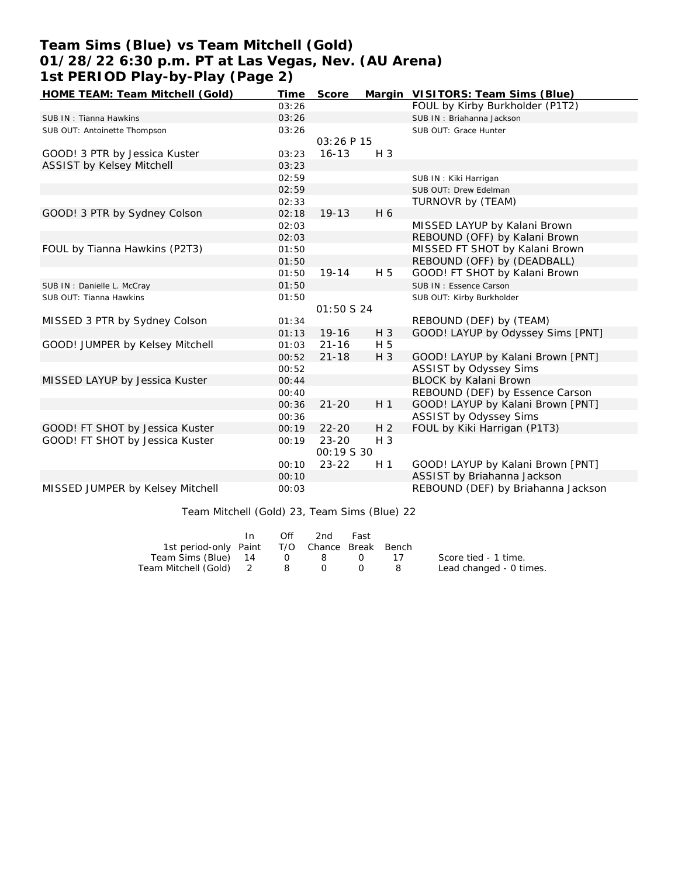# **Team Sims (Blue) vs Team Mitchell (Gold) 01/28/22 6:30 p.m. PT at Las Vegas, Nev. (AU Arena) 1st PERIOD Play-by-Play (Page 2)**

| HOME TEAM: Team Mitchell (Gold)  | Time  | Score             |                | Margin VISITORS: Team Sims (Blue)  |
|----------------------------------|-------|-------------------|----------------|------------------------------------|
|                                  | 03:26 |                   |                | FOUL by Kirby Burkholder (P1T2)    |
| SUB IN: Tianna Hawkins           | 03:26 |                   |                | SUB IN: Briahanna Jackson          |
| SUB OUT: Antoinette Thompson     | 03:26 |                   |                | SUB OUT: Grace Hunter              |
|                                  |       | 03:26 P 15        |                |                                    |
| GOOD! 3 PTR by Jessica Kuster    | 03:23 | $16 - 13$         | $H_3$          |                                    |
| <b>ASSIST by Kelsey Mitchell</b> | 03:23 |                   |                |                                    |
|                                  | 02:59 |                   |                | SUB IN: Kiki Harrigan              |
|                                  | 02:59 |                   |                | SUB OUT: Drew Edelman              |
|                                  | 02:33 |                   |                | TURNOVR by (TEAM)                  |
| GOOD! 3 PTR by Sydney Colson     | 02:18 | $19 - 13$         | H 6            |                                    |
|                                  | 02:03 |                   |                | MISSED LAYUP by Kalani Brown       |
|                                  | 02:03 |                   |                | REBOUND (OFF) by Kalani Brown      |
| FOUL by Tianna Hawkins (P2T3)    | 01:50 |                   |                | MISSED FT SHOT by Kalani Brown     |
|                                  | 01:50 |                   |                | REBOUND (OFF) by (DEADBALL)        |
|                                  | 01:50 | $19 - 14$         | H 5            | GOOD! FT SHOT by Kalani Brown      |
| SUB IN : Danielle L. McCray      | 01:50 |                   |                | SUB IN: Essence Carson             |
| SUB OUT: Tianna Hawkins          | 01:50 |                   |                | SUB OUT: Kirby Burkholder          |
|                                  |       | 01:50 S 24        |                |                                    |
| MISSED 3 PTR by Sydney Colson    | 01:34 |                   |                | REBOUND (DEF) by (TEAM)            |
|                                  | 01:13 | $19 - 16$         | H 3            | GOOD! LAYUP by Odyssey Sims [PNT]  |
| GOOD! JUMPER by Kelsey Mitchell  | 01:03 | $21 - 16$         | H 5            |                                    |
|                                  | 00:52 | $21 - 18$         | H 3            | GOOD! LAYUP by Kalani Brown [PNT]  |
|                                  | 00:52 |                   |                | ASSIST by Odyssey Sims             |
| MISSED LAYUP by Jessica Kuster   | 00:44 |                   |                | BLOCK by Kalani Brown              |
|                                  | 00:40 |                   |                | REBOUND (DEF) by Essence Carson    |
|                                  | 00:36 | $21 - 20$         | H <sub>1</sub> | GOOD! LAYUP by Kalani Brown [PNT]  |
|                                  | 00:36 |                   |                | ASSIST by Odyssey Sims             |
| GOOD! FT SHOT by Jessica Kuster  | 00:19 | $22 - 20$         | H <sub>2</sub> | FOUL by Kiki Harrigan (P1T3)       |
| GOOD! FT SHOT by Jessica Kuster  | 00:19 | $23 - 20$         | $H_3$          |                                    |
|                                  |       | <i>00:19 S 30</i> |                |                                    |
|                                  | 00:10 | $23 - 22$         | H 1            | GOOD! LAYUP by Kalani Brown [PNT]  |
|                                  | 00:10 |                   |                | ASSIST by Briahanna Jackson        |
| MISSED JUMPER by Kelsey Mitchell | 00:03 |                   |                | REBOUND (DEF) by Briahanna Jackson |

Team Mitchell (Gold) 23, Team Sims (Blue) 22

|                                              | In. | Off | 2nd                                 | Fast |      |                         |
|----------------------------------------------|-----|-----|-------------------------------------|------|------|-------------------------|
| 1st period-only Paint T/O Chance Break Bench |     |     |                                     |      |      |                         |
| Team Sims (Blue) 14                          |     |     | $\begin{matrix} 0 & 8 \end{matrix}$ |      | 17   | Score tied - 1 time.    |
| Team Mitchell (Gold) 2 8 0                   |     |     |                                     |      | - 83 | Lead changed - 0 times. |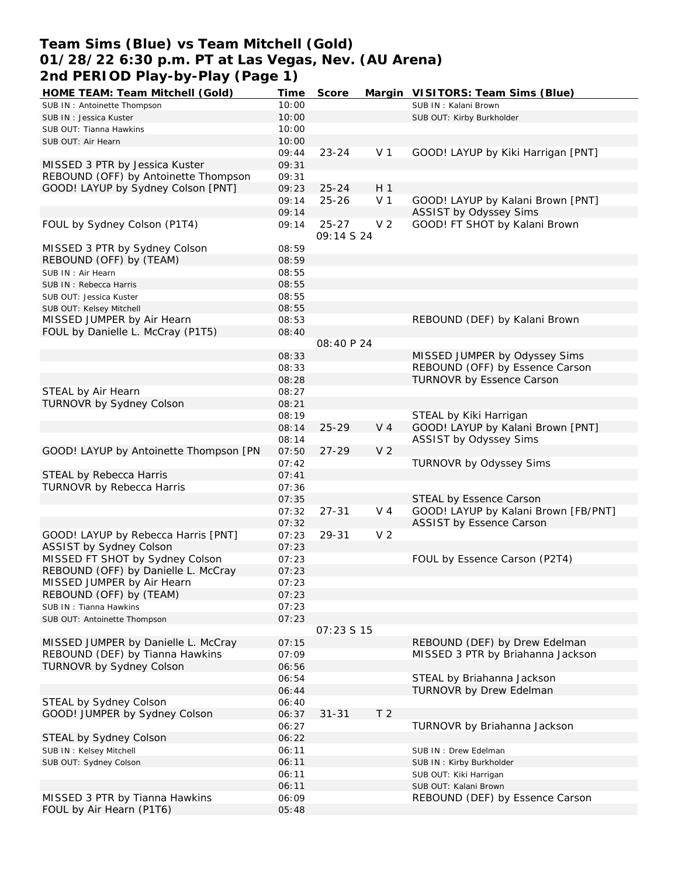## **Team Sims (Blue) vs Team Mitchell (Gold) 01/28/22 6:30 p.m. PT at Las Vegas, Nev. (AU Arena) 2nd PERIOD Play-by-Play (Page 1)**

| HOME TEAM: Team Mitchell (Gold)        | Time  | Score       |                | Margin VISITORS: Team Sims (Blue)    |
|----------------------------------------|-------|-------------|----------------|--------------------------------------|
| SUB IN: Antoinette Thompson            | 10:00 |             |                | SUB IN: Kalani Brown                 |
| SUB IN: Jessica Kuster                 | 10:00 |             |                | SUB OUT: Kirby Burkholder            |
| SUB OUT: Tianna Hawkins                | 10:00 |             |                |                                      |
| SUB OUT: Air Hearn                     | 10:00 |             |                |                                      |
|                                        | 09:44 | $23 - 24$   | V <sub>1</sub> | GOOD! LAYUP by Kiki Harrigan [PNT]   |
| MISSED 3 PTR by Jessica Kuster         | 09:31 |             |                |                                      |
| REBOUND (OFF) by Antoinette Thompson   | 09:31 |             |                |                                      |
| GOOD! LAYUP by Sydney Colson [PNT]     | 09:23 | $25 - 24$   | H <sub>1</sub> |                                      |
|                                        | 09:14 | $25 - 26$   | V <sub>1</sub> | GOOD! LAYUP by Kalani Brown [PNT]    |
|                                        | 09:14 |             |                | ASSIST by Odyssey Sims               |
| FOUL by Sydney Colson (P1T4)           | 09:14 | $25 - 27$   | V <sub>2</sub> | GOOD! FT SHOT by Kalani Brown        |
|                                        |       | 09:14 S 24  |                |                                      |
| MISSED 3 PTR by Sydney Colson          | 08:59 |             |                |                                      |
| REBOUND (OFF) by (TEAM)                | 08:59 |             |                |                                      |
| SUB IN: Air Hearn                      | 08:55 |             |                |                                      |
|                                        |       |             |                |                                      |
| SUB IN: Rebecca Harris                 | 08:55 |             |                |                                      |
| SUB OUT: Jessica Kuster                | 08:55 |             |                |                                      |
| SUB OUT: Kelsey Mitchell               | 08:55 |             |                |                                      |
| MISSED JUMPER by Air Hearn             | 08:53 |             |                | REBOUND (DEF) by Kalani Brown        |
| FOUL by Danielle L. McCray (P1T5)      | 08:40 |             |                |                                      |
|                                        |       | 08:40 P 24  |                |                                      |
|                                        | 08:33 |             |                | MISSED JUMPER by Odyssey Sims        |
|                                        | 08:33 |             |                | REBOUND (OFF) by Essence Carson      |
|                                        | 08:28 |             |                | TURNOVR by Essence Carson            |
| STEAL by Air Hearn                     | 08:27 |             |                |                                      |
| TURNOVR by Sydney Colson               | 08:21 |             |                |                                      |
|                                        | 08:19 |             |                | STEAL by Kiki Harrigan               |
|                                        | 08:14 | $25 - 29$   | V <sub>4</sub> | GOOD! LAYUP by Kalani Brown [PNT]    |
|                                        | 08:14 |             |                | ASSIST by Odyssey Sims               |
| GOOD! LAYUP by Antoinette Thompson [PN | 07:50 | $27 - 29$   | V <sub>2</sub> |                                      |
|                                        | 07:42 |             |                | TURNOVR by Odyssey Sims              |
| STEAL by Rebecca Harris                | 07:41 |             |                |                                      |
| <b>TURNOVR by Rebecca Harris</b>       | 07:36 |             |                |                                      |
|                                        | 07:35 |             |                | STEAL by Essence Carson              |
|                                        | 07:32 | $27 - 31$   | V <sub>4</sub> | GOOD! LAYUP by Kalani Brown [FB/PNT] |
|                                        | 07:32 |             |                | <b>ASSIST by Essence Carson</b>      |
| GOOD! LAYUP by Rebecca Harris [PNT]    | 07:23 | 29-31       | V <sub>2</sub> |                                      |
| ASSIST by Sydney Colson                | 07:23 |             |                |                                      |
| MISSED FT SHOT by Sydney Colson        | 07:23 |             |                | FOUL by Essence Carson (P2T4)        |
| REBOUND (OFF) by Danielle L. McCray    | 07:23 |             |                |                                      |
| MISSED JUMPER by Air Hearn             | 07:23 |             |                |                                      |
| REBOUND (OFF) by (TEAM)                | 07:23 |             |                |                                      |
| SUB IN: Tianna Hawkins                 | 07:23 |             |                |                                      |
|                                        | 07:23 |             |                |                                      |
| SUB OUT: Antoinette Thompson           |       | 07:23 \$ 15 |                |                                      |
|                                        |       |             |                |                                      |
| MISSED JUMPER by Danielle L. McCray    | 07:15 |             |                | REBOUND (DEF) by Drew Edelman        |
| REBOUND (DEF) by Tianna Hawkins        | 07:09 |             |                | MISSED 3 PTR by Briahanna Jackson    |
| TURNOVR by Sydney Colson               | 06:56 |             |                |                                      |
|                                        | 06:54 |             |                | STEAL by Briahanna Jackson           |
|                                        | 06:44 |             |                | TURNOVR by Drew Edelman              |
| STEAL by Sydney Colson                 | 06:40 |             |                |                                      |
| GOOD! JUMPER by Sydney Colson          | 06:37 | $31 - 31$   | T <sub>2</sub> |                                      |
|                                        | 06:27 |             |                | TURNOVR by Briahanna Jackson         |
| STEAL by Sydney Colson                 | 06:22 |             |                |                                      |
| SUB IN: Kelsey Mitchell                | 06:11 |             |                | SUB IN : Drew Edelman                |
| SUB OUT: Sydney Colson                 | 06:11 |             |                | SUB IN: Kirby Burkholder             |
|                                        | 06:11 |             |                | SUB OUT: Kiki Harrigan               |
|                                        | 06:11 |             |                | SUB OUT: Kalani Brown                |
| MISSED 3 PTR by Tianna Hawkins         | 06:09 |             |                | REBOUND (DEF) by Essence Carson      |
| FOUL by Air Hearn (P1T6)               | 05:48 |             |                |                                      |
|                                        |       |             |                |                                      |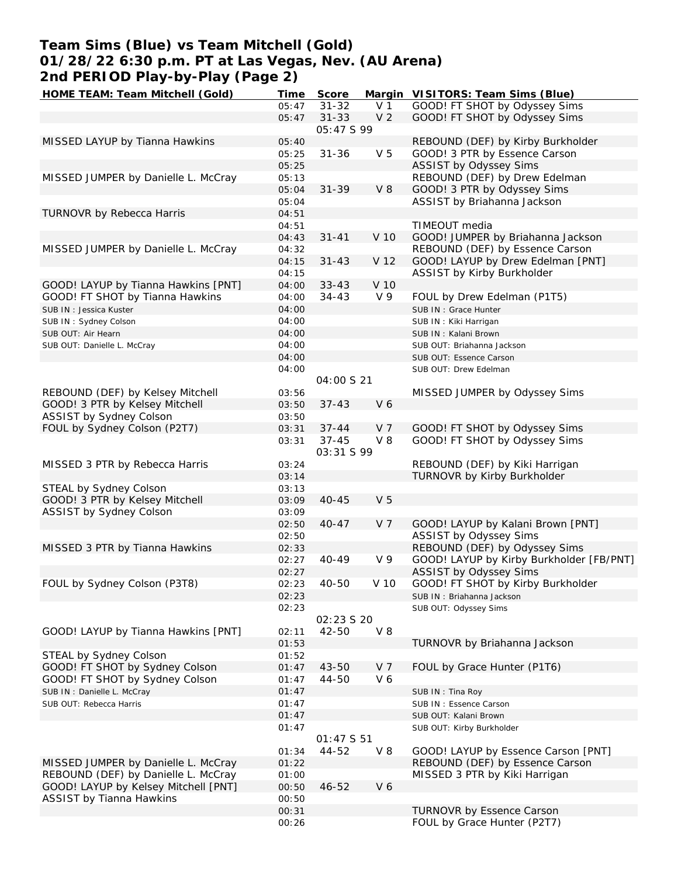## **Team Sims (Blue) vs Team Mitchell (Gold) 01/28/22 6:30 p.m. PT at Las Vegas, Nev. (AU Arena) 2nd PERIOD Play-by-Play (Page 2)**

| HOME TEAM: Team Mitchell (Gold)      | Time  | Score       |                | Margin VISITORS: Team Sims (Blue)        |
|--------------------------------------|-------|-------------|----------------|------------------------------------------|
|                                      | 05:47 | $31 - 32$   | V <sub>1</sub> | GOOD! FT SHOT by Odyssey Sims            |
|                                      | 05:47 | $31 - 33$   | V <sub>2</sub> | GOOD! FT SHOT by Odyssey Sims            |
|                                      |       | 05:47 S 99  |                |                                          |
| MISSED LAYUP by Tianna Hawkins       | 05:40 |             |                | REBOUND (DEF) by Kirby Burkholder        |
|                                      | 05:25 | $31 - 36$   | V <sub>5</sub> | GOOD! 3 PTR by Essence Carson            |
|                                      | 05:25 |             |                | ASSIST by Odyssey Sims                   |
| MISSED JUMPER by Danielle L. McCray  | 05:13 |             |                | REBOUND (DEF) by Drew Edelman            |
|                                      | 05:04 | $31 - 39$   | V8             | GOOD! 3 PTR by Odyssey Sims              |
|                                      | 05:04 |             |                | ASSIST by Briahanna Jackson              |
| TURNOVR by Rebecca Harris            | 04:51 |             |                |                                          |
|                                      |       |             |                |                                          |
|                                      | 04:51 |             |                | TIMEOUT media                            |
|                                      | 04:43 | $31 - 41$   | V 10           | GOOD! JUMPER by Briahanna Jackson        |
| MISSED JUMPER by Danielle L. McCray  | 04:32 |             |                | REBOUND (DEF) by Essence Carson          |
|                                      | 04:15 | $31 - 43$   | V 12           | GOOD! LAYUP by Drew Edelman [PNT]        |
|                                      | 04:15 |             |                | ASSIST by Kirby Burkholder               |
| GOOD! LAYUP by Tianna Hawkins [PNT]  | 04:00 | $33 - 43$   | V 10           |                                          |
| GOOD! FT SHOT by Tianna Hawkins      | 04:00 | $34 - 43$   | V 9            | FOUL by Drew Edelman (P1T5)              |
| SUB IN: Jessica Kuster               | 04:00 |             |                | SUB IN : Grace Hunter                    |
| SUB IN: Sydney Colson                | 04:00 |             |                | SUB IN: Kiki Harrigan                    |
| SUB OUT: Air Hearn                   | 04:00 |             |                | SUB IN: Kalani Brown                     |
| SUB OUT: Danielle L. McCray          | 04:00 |             |                | SUB OUT: Briahanna Jackson               |
|                                      | 04:00 |             |                | SUB OUT: Essence Carson                  |
|                                      | 04:00 |             |                | SUB OUT: Drew Edelman                    |
|                                      |       | 04:00 S 21  |                |                                          |
| REBOUND (DEF) by Kelsey Mitchell     | 03:56 |             |                | MISSED JUMPER by Odyssey Sims            |
|                                      | 03:50 | $37 - 43$   | V6             |                                          |
| GOOD! 3 PTR by Kelsey Mitchell       |       |             |                |                                          |
| ASSIST by Sydney Colson              | 03:50 |             |                |                                          |
| FOUL by Sydney Colson (P2T7)         | 03:31 | $37 - 44$   | V 7            | GOOD! FT SHOT by Odyssey Sims            |
|                                      | 03:31 | $37 - 45$   | $V_8$          | GOOD! FT SHOT by Odyssey Sims            |
|                                      |       | 03:31 S 99  |                |                                          |
| MISSED 3 PTR by Rebecca Harris       | 03:24 |             |                | REBOUND (DEF) by Kiki Harrigan           |
|                                      | 03:14 |             |                | TURNOVR by Kirby Burkholder              |
| STEAL by Sydney Colson               | 03:13 |             |                |                                          |
| GOOD! 3 PTR by Kelsey Mitchell       | 03:09 | $40 - 45$   | V <sub>5</sub> |                                          |
| ASSIST by Sydney Colson              | 03:09 |             |                |                                          |
|                                      | 02:50 | $40 - 47$   | V 7            | GOOD! LAYUP by Kalani Brown [PNT]        |
|                                      | 02:50 |             |                | <b>ASSIST by Odyssey Sims</b>            |
| MISSED 3 PTR by Tianna Hawkins       | 02:33 |             |                | REBOUND (DEF) by Odyssey Sims            |
|                                      | 02:27 | 40-49       | V <sub>9</sub> | GOOD! LAYUP by Kirby Burkholder [FB/PNT] |
|                                      | 02:27 |             |                | ASSIST by Odyssey Sims                   |
| FOUL by Sydney Colson (P3T8)         | 02:23 | 40-50       | V 10           | GOOD! FT SHOT by Kirby Burkholder        |
|                                      | 02:23 |             |                | SUB IN: Briahanna Jackson                |
|                                      | 02:23 |             |                |                                          |
|                                      |       | 02:23 \$ 20 |                | SUB OUT: Odyssey Sims                    |
|                                      |       |             |                |                                          |
| GOOD! LAYUP by Tianna Hawkins [PNT]  | 02:11 | 42-50       | $V_8$          |                                          |
|                                      | 01:53 |             |                | TURNOVR by Briahanna Jackson             |
| STEAL by Sydney Colson               | 01:52 |             |                |                                          |
| GOOD! FT SHOT by Sydney Colson       | 01:47 | $43 - 50$   | V <sub>7</sub> | FOUL by Grace Hunter (P1T6)              |
| GOOD! FT SHOT by Sydney Colson       | 01:47 | 44-50       | V6             |                                          |
| SUB IN: Danielle L. McCray           | 01:47 |             |                | SUB IN: Tina Roy                         |
| SUB OUT: Rebecca Harris              | 01:47 |             |                | SUB IN: Essence Carson                   |
|                                      | 01:47 |             |                | SUB OUT: Kalani Brown                    |
|                                      | 01:47 |             |                | SUB OUT: Kirby Burkholder                |
|                                      |       | 01:47 S 51  |                |                                          |
|                                      | 01:34 | 44-52       | $V_8$          | GOOD! LAYUP by Essence Carson [PNT]      |
| MISSED JUMPER by Danielle L. McCray  | 01:22 |             |                | REBOUND (DEF) by Essence Carson          |
| REBOUND (DEF) by Danielle L. McCray  | 01:00 |             |                | MISSED 3 PTR by Kiki Harrigan            |
| GOOD! LAYUP by Kelsey Mitchell [PNT] | 00:50 | $46 - 52$   | V6             |                                          |
| ASSIST by Tianna Hawkins             | 00:50 |             |                |                                          |
|                                      |       |             |                |                                          |
|                                      | 00:31 |             |                | TURNOVR by Essence Carson                |
|                                      | 00:26 |             |                | FOUL by Grace Hunter (P2T7)              |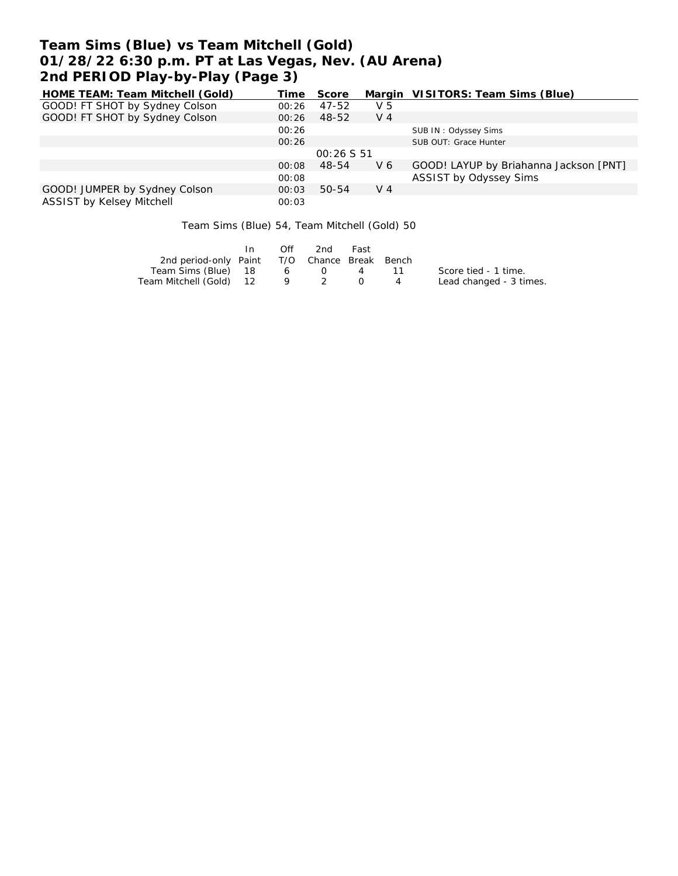# **Team Sims (Blue) vs Team Mitchell (Gold) 01/28/22 6:30 p.m. PT at Las Vegas, Nev. (AU Arena) 2nd PERIOD Play-by-Play (Page 3)**

| HOME TEAM: Team Mitchell (Gold) | Time  | Score |       | Margin VISITORS: Team Sims (Blue)      |
|---------------------------------|-------|-------|-------|----------------------------------------|
| GOOD! FT SHOT by Sydney Colson  | 00:26 | 47-52 | V 5   |                                        |
| GOOD! FT SHOT by Sydney Colson  | 00:26 | 48-52 | $V_4$ |                                        |
|                                 | 00:26 |       |       | SUB IN: Odyssey Sims                   |
|                                 | 00:26 |       |       | SUB OUT: Grace Hunter                  |
|                                 |       |       |       |                                        |
|                                 | 00:08 | 48-54 | V 6   | GOOD! LAYUP by Briahanna Jackson [PNT] |
|                                 | 00:08 |       |       | ASSIST by Odyssey Sims                 |
| GOOD! JUMPER by Sydney Colson   | 00:03 | 50-54 | $V_4$ |                                        |
| ASSIST by Kelsey Mitchell       | 00:03 |       |       |                                        |

Team Sims (Blue) 54, Team Mitchell (Gold) 50

|                                              | In. | Off             | 2nd    | Fast |      |                         |
|----------------------------------------------|-----|-----------------|--------|------|------|-------------------------|
| 2nd period-only Paint T/O Chance Break Bench |     |                 |        |      |      |                         |
| Team Sims (Blue) 18                          |     | $6\overline{6}$ | $\cup$ |      | -11- | Score tied - 1 time.    |
| Team Mitchell (Gold) 12                      |     |                 | 9 2    |      |      | Lead changed - 3 times. |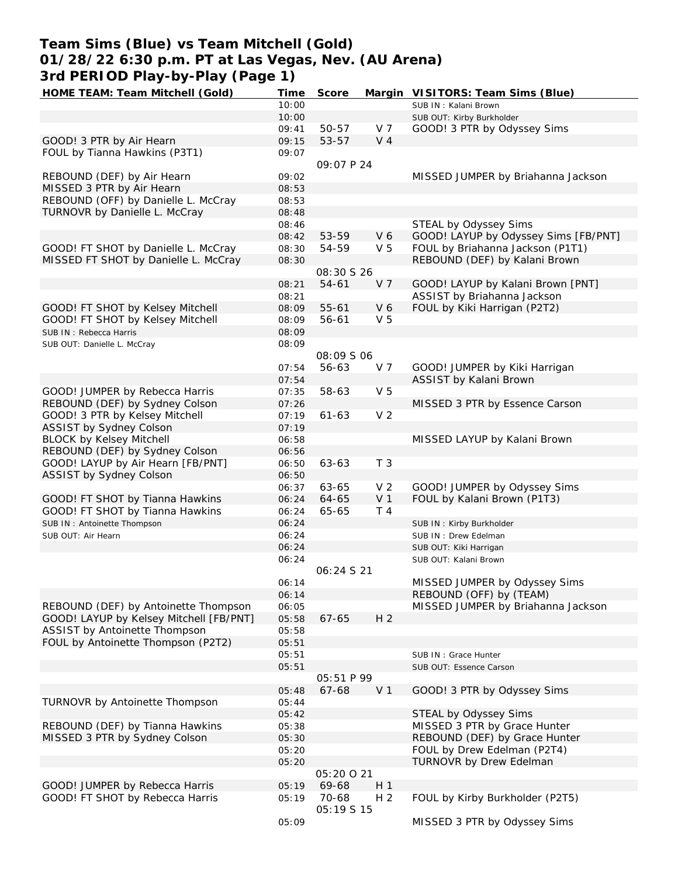### **Team Sims (Blue) vs Team Mitchell (Gold) 01/28/22 6:30 p.m. PT at Las Vegas, Nev. (AU Arena) 3rd PERIOD Play-by-Play (Page 1)**

| HOME TEAM: Team Mitchell (Gold)         | Time  | Score             |                | Margin VISITORS: Team Sims (Blue)    |
|-----------------------------------------|-------|-------------------|----------------|--------------------------------------|
|                                         | 10:00 |                   |                | SUB IN: Kalani Brown                 |
|                                         | 10:00 |                   |                | SUB OUT: Kirby Burkholder            |
|                                         | 09:41 | 50-57             | V 7            | GOOD! 3 PTR by Odyssey Sims          |
| GOOD! 3 PTR by Air Hearn                | 09:15 | 53-57             | V <sub>4</sub> |                                      |
| FOUL by Tianna Hawkins (P3T1)           | 09:07 |                   |                |                                      |
|                                         |       | 09:07 P 24        |                |                                      |
| REBOUND (DEF) by Air Hearn              | 09:02 |                   |                | MISSED JUMPER by Briahanna Jackson   |
| MISSED 3 PTR by Air Hearn               | 08:53 |                   |                |                                      |
| REBOUND (OFF) by Danielle L. McCray     | 08:53 |                   |                |                                      |
| TURNOVR by Danielle L. McCray           | 08:48 |                   |                |                                      |
|                                         | 08:46 |                   |                | STEAL by Odyssey Sims                |
|                                         | 08:42 | 53-59             | V6             | GOOD! LAYUP by Odyssey Sims [FB/PNT] |
| GOOD! FT SHOT by Danielle L. McCray     | 08:30 | 54-59             | V <sub>5</sub> | FOUL by Briahanna Jackson (P1T1)     |
| MISSED FT SHOT by Danielle L. McCray    | 08:30 |                   |                | REBOUND (DEF) by Kalani Brown        |
|                                         |       | <i>08:30 S 26</i> |                |                                      |
|                                         | 08:21 | 54-61             | V <sub>7</sub> | GOOD! LAYUP by Kalani Brown [PNT]    |
|                                         | 08:21 |                   |                | ASSIST by Briahanna Jackson          |
|                                         |       | $55 - 61$         | V6             | FOUL by Kiki Harrigan (P2T2)         |
| GOOD! FT SHOT by Kelsey Mitchell        | 08:09 |                   |                |                                      |
| GOOD! FT SHOT by Kelsey Mitchell        | 08:09 | 56-61             | V <sub>5</sub> |                                      |
| SUB IN: Rebecca Harris                  | 08:09 |                   |                |                                      |
| SUB OUT: Danielle L. McCray             | 08:09 |                   |                |                                      |
|                                         |       | <i>08:09 S 06</i> |                |                                      |
|                                         | 07:54 | 56-63             | V 7            | GOOD! JUMPER by Kiki Harrigan        |
|                                         | 07:54 |                   |                | ASSIST by Kalani Brown               |
| GOOD! JUMPER by Rebecca Harris          | 07:35 | 58-63             | V <sub>5</sub> |                                      |
| REBOUND (DEF) by Sydney Colson          | 07:26 |                   |                | MISSED 3 PTR by Essence Carson       |
| GOOD! 3 PTR by Kelsey Mitchell          | 07:19 | $61 - 63$         | V <sub>2</sub> |                                      |
| ASSIST by Sydney Colson                 | 07:19 |                   |                |                                      |
| <b>BLOCK by Kelsey Mitchell</b>         | 06:58 |                   |                | MISSED LAYUP by Kalani Brown         |
| REBOUND (DEF) by Sydney Colson          | 06:56 |                   |                |                                      |
| GOOD! LAYUP by Air Hearn [FB/PNT]       | 06:50 | 63-63             | T <sub>3</sub> |                                      |
| ASSIST by Sydney Colson                 | 06:50 |                   |                |                                      |
|                                         | 06:37 | 63-65             | V <sub>2</sub> | GOOD! JUMPER by Odyssey Sims         |
| GOOD! FT SHOT by Tianna Hawkins         | 06:24 | 64-65             | V <sub>1</sub> | FOUL by Kalani Brown (P1T3)          |
| GOOD! FT SHOT by Tianna Hawkins         | 06:24 | 65-65             | T 4            |                                      |
| SUB IN: Antoinette Thompson             | 06:24 |                   |                | SUB IN: Kirby Burkholder             |
| SUB OUT: Air Hearn                      | 06:24 |                   |                | SUB IN: Drew Edelman                 |
|                                         | 06:24 |                   |                | SUB OUT: Kiki Harrigan               |
|                                         | 06:24 |                   |                | SUB OUT: Kalani Brown                |
|                                         |       | 06:24 S 21        |                |                                      |
|                                         | 06:14 |                   |                | MISSED JUMPER by Odyssey Sims        |
|                                         | 06:14 |                   |                | REBOUND (OFF) by (TEAM)              |
| REBOUND (DEF) by Antoinette Thompson    | 06:05 |                   |                | MISSED JUMPER by Briahanna Jackson   |
| GOOD! LAYUP by Kelsey Mitchell [FB/PNT] | 05:58 | $67 - 65$         | H <sub>2</sub> |                                      |
| ASSIST by Antoinette Thompson           | 05:58 |                   |                |                                      |
| FOUL by Antoinette Thompson (P2T2)      | 05:51 |                   |                |                                      |
|                                         | 05:51 |                   |                | SUB IN: Grace Hunter                 |
|                                         | 05:51 |                   |                | SUB OUT: Essence Carson              |
|                                         |       | 05:51 P 99        |                |                                      |
|                                         | 05:48 | 67-68             | V <sub>1</sub> | GOOD! 3 PTR by Odyssey Sims          |
| TURNOVR by Antoinette Thompson          | 05:44 |                   |                |                                      |
|                                         | 05:42 |                   |                | STEAL by Odyssey Sims                |
| REBOUND (DEF) by Tianna Hawkins         | 05:38 |                   |                | MISSED 3 PTR by Grace Hunter         |
| MISSED 3 PTR by Sydney Colson           | 05:30 |                   |                | REBOUND (DEF) by Grace Hunter        |
|                                         | 05:20 |                   |                | FOUL by Drew Edelman (P2T4)          |
|                                         | 05:20 |                   |                | TURNOVR by Drew Edelman              |
|                                         |       | 05:20 0 21        |                |                                      |
| GOOD! JUMPER by Rebecca Harris          | 05:19 | 69-68             | H <sub>1</sub> |                                      |
| GOOD! FT SHOT by Rebecca Harris         | 05:19 | 70-68             | H <sub>2</sub> | FOUL by Kirby Burkholder (P2T5)      |
|                                         |       | 05:19 S 15        |                |                                      |
|                                         | 05:09 |                   |                | MISSED 3 PTR by Odyssey Sims         |
|                                         |       |                   |                |                                      |
|                                         |       |                   |                |                                      |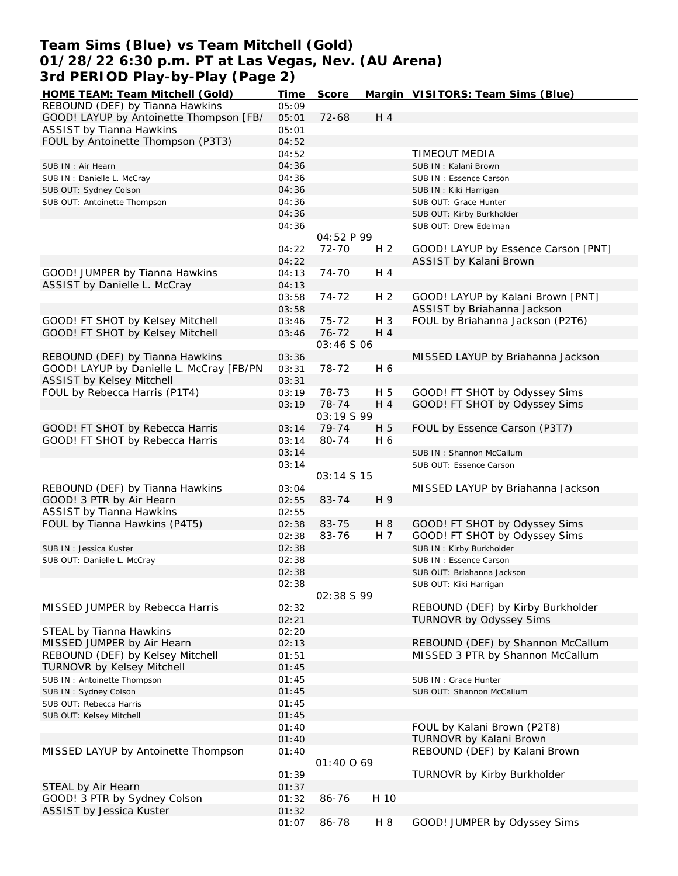### **Team Sims (Blue) vs Team Mitchell (Gold) 01/28/22 6:30 p.m. PT at Las Vegas, Nev. (AU Arena) 3rd PERIOD Play-by-Play (Page 2)**

| HOME TEAM: Team Mitchell (Gold)          | Time           | Score          |                | Margin VISITORS: Team Sims (Blue)                              |
|------------------------------------------|----------------|----------------|----------------|----------------------------------------------------------------|
| REBOUND (DEF) by Tianna Hawkins          | 05:09          |                |                |                                                                |
| GOOD! LAYUP by Antoinette Thompson [FB/  | 05:01          | 72-68          | H 4            |                                                                |
| <b>ASSIST by Tianna Hawkins</b>          | 05:01          |                |                |                                                                |
| FOUL by Antoinette Thompson (P3T3)       | 04:52          |                |                |                                                                |
|                                          | 04:52          |                |                | TIMEOUT MEDIA                                                  |
| SUB IN: Air Hearn                        | 04:36          |                |                | SUB IN: Kalani Brown                                           |
| SUB IN : Danielle L. McCray              | 04:36          |                |                | SUB IN: Essence Carson                                         |
| SUB OUT: Sydney Colson                   | 04:36          |                |                | SUB IN: Kiki Harrigan                                          |
| SUB OUT: Antoinette Thompson             | 04:36          |                |                | SUB OUT: Grace Hunter                                          |
|                                          | 04:36          |                |                | SUB OUT: Kirby Burkholder                                      |
|                                          | 04:36          |                |                | SUB OUT: Drew Edelman                                          |
|                                          |                | 04:52 P 99     |                |                                                                |
|                                          | 04:22          | $72 - 70$      | H <sub>2</sub> | GOOD! LAYUP by Essence Carson [PNT]                            |
|                                          | 04:22          |                |                | ASSIST by Kalani Brown                                         |
| GOOD! JUMPER by Tianna Hawkins           | 04:13          | 74-70          | H 4            |                                                                |
| ASSIST by Danielle L. McCray             | 04:13          |                |                |                                                                |
|                                          | 03:58          | 74-72          | H <sub>2</sub> | GOOD! LAYUP by Kalani Brown [PNT]                              |
|                                          | 03:58          |                |                | ASSIST by Briahanna Jackson                                    |
| GOOD! FT SHOT by Kelsey Mitchell         | 03:46          | $75 - 72$      | $H_3$          | FOUL by Briahanna Jackson (P2T6)                               |
| GOOD! FT SHOT by Kelsey Mitchell         | 03:46          | $76 - 72$      | H <sub>4</sub> |                                                                |
|                                          |                | 03:46 S 06     |                |                                                                |
| REBOUND (DEF) by Tianna Hawkins          | 03:36          |                |                | MISSED LAYUP by Briahanna Jackson                              |
| GOOD! LAYUP by Danielle L. McCray [FB/PN | 03:31          | 78-72          | H 6            |                                                                |
| <b>ASSIST by Kelsey Mitchell</b>         | 03:31          |                |                |                                                                |
| FOUL by Rebecca Harris (P1T4)            | 03:19          | 78-73          | H 5            | GOOD! FT SHOT by Odyssey Sims                                  |
|                                          | 03:19          | 78-74          | H 4            | GOOD! FT SHOT by Odyssey Sims                                  |
|                                          |                | 03:19599       |                |                                                                |
| GOOD! FT SHOT by Rebecca Harris          | 03:14          | 79-74          | H 5            | FOUL by Essence Carson (P3T7)                                  |
| GOOD! FT SHOT by Rebecca Harris          | 03:14          | 80-74          | H 6            |                                                                |
|                                          | 03:14          |                |                | SUB IN: Shannon McCallum                                       |
|                                          | 03:14          |                |                | SUB OUT: Essence Carson                                        |
|                                          |                | 03:14 S 15     |                |                                                                |
| REBOUND (DEF) by Tianna Hawkins          | 03:04          |                |                | MISSED LAYUP by Briahanna Jackson                              |
| GOOD! 3 PTR by Air Hearn                 | 02:55          | 83-74          | H 9            |                                                                |
| <b>ASSIST by Tianna Hawkins</b>          | 02:55          |                |                |                                                                |
| FOUL by Tianna Hawkins (P4T5)            | 02:38<br>02:38 | 83-75<br>83-76 | H 8<br>H 7     | GOOD! FT SHOT by Odyssey Sims<br>GOOD! FT SHOT by Odyssey Sims |
|                                          | 02:38          |                |                |                                                                |
| SUB IN: Jessica Kuster                   | 02:38          |                |                | SUB IN: Kirby Burkholder                                       |
| SUB OUT: Danielle L. McCray              | 02:38          |                |                | SUB IN: Essence Carson<br>SUB OUT: Briahanna Jackson           |
|                                          | 02:38          |                |                | SUB OUT: Kiki Harrigan                                         |
|                                          |                | 02:38 S 99     |                |                                                                |
| MISSED JUMPER by Rebecca Harris          | 02:32          |                |                | REBOUND (DEF) by Kirby Burkholder                              |
|                                          | 02:21          |                |                | TURNOVR by Odyssey Sims                                        |
| STEAL by Tianna Hawkins                  | 02:20          |                |                |                                                                |
| MISSED JUMPER by Air Hearn               | 02:13          |                |                | REBOUND (DEF) by Shannon McCallum                              |
| REBOUND (DEF) by Kelsey Mitchell         | 01:51          |                |                | MISSED 3 PTR by Shannon McCallum                               |
| <b>TURNOVR by Kelsey Mitchell</b>        | 01:45          |                |                |                                                                |
| SUB IN: Antoinette Thompson              | 01:45          |                |                | SUB IN: Grace Hunter                                           |
| SUB IN: Sydney Colson                    | 01:45          |                |                | SUB OUT: Shannon McCallum                                      |
| SUB OUT: Rebecca Harris                  | 01:45          |                |                |                                                                |
| SUB OUT: Kelsey Mitchell                 | 01:45          |                |                |                                                                |
|                                          | 01:40          |                |                | FOUL by Kalani Brown (P2T8)                                    |
|                                          | 01:40          |                |                | TURNOVR by Kalani Brown                                        |
| MISSED LAYUP by Antoinette Thompson      | 01:40          |                |                | REBOUND (DEF) by Kalani Brown                                  |
|                                          |                | 01:40 0 69     |                |                                                                |
|                                          | 01:39          |                |                | TURNOVR by Kirby Burkholder                                    |
| STEAL by Air Hearn                       | 01:37          |                |                |                                                                |
| GOOD! 3 PTR by Sydney Colson             | 01:32          | 86-76          | H 10           |                                                                |
| ASSIST by Jessica Kuster                 | 01:32          |                |                |                                                                |
|                                          | 01:07          | 86-78          | H 8            | GOOD! JUMPER by Odyssey Sims                                   |
|                                          |                |                |                |                                                                |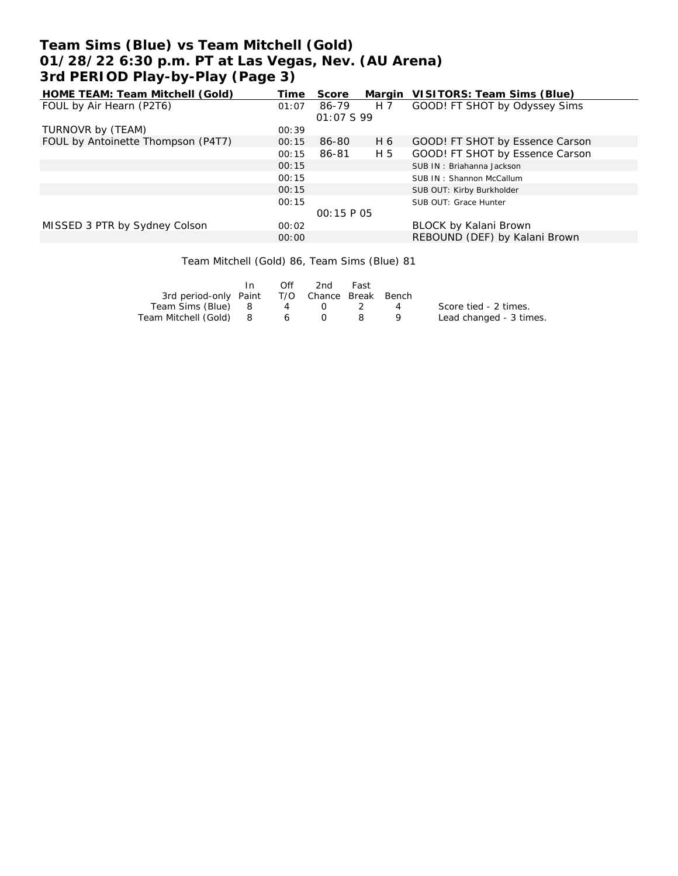# **Team Sims (Blue) vs Team Mitchell (Gold) 01/28/22 6:30 p.m. PT at Las Vegas, Nev. (AU Arena) 3rd PERIOD Play-by-Play (Page 3)**

| HOME TEAM: Team Mitchell (Gold)    | Time  | Score             |     | Margin VISITORS: Team Sims (Blue) |
|------------------------------------|-------|-------------------|-----|-----------------------------------|
| FOUL by Air Hearn (P2T6)           | 01:07 | 86-79             | H 7 | GOOD! FT SHOT by Odyssey Sims     |
|                                    |       | 01:07 S 99        |     |                                   |
| TURNOVR by (TEAM)                  | 00:39 |                   |     |                                   |
| FOUL by Antoinette Thompson (P4T7) | 00:15 | 86-80             | H 6 | GOOD! FT SHOT by Essence Carson   |
|                                    | 00:15 | 86-81             | H 5 | GOOD! FT SHOT by Essence Carson   |
|                                    | 00:15 |                   |     | SUB IN: Briahanna Jackson         |
|                                    | 00:15 |                   |     | SUB IN: Shannon McCallum          |
|                                    | 00:15 |                   |     | SUB OUT: Kirby Burkholder         |
|                                    | 00:15 |                   |     | SUB OUT: Grace Hunter             |
|                                    |       | <i>00:15 P 05</i> |     |                                   |
| MISSED 3 PTR by Sydney Colson      | 00:02 |                   |     | BLOCK by Kalani Brown             |
|                                    | 00:00 |                   |     | REBOUND (DEF) by Kalani Brown     |

Team Mitchell (Gold) 86, Team Sims (Blue) 81

|                                              | In. | Off | 2nd | Fast           |                |                         |
|----------------------------------------------|-----|-----|-----|----------------|----------------|-------------------------|
| 3rd period-only Paint T/O Chance Break Bench |     |     |     |                |                |                         |
| Team Sims (Blue) 8                           |     |     | 4 0 | $\overline{2}$ | $\overline{a}$ | Score tied - 2 times.   |
| Team Mitchell (Gold) 8                       |     | 6 0 |     |                |                | Lead changed - 3 times. |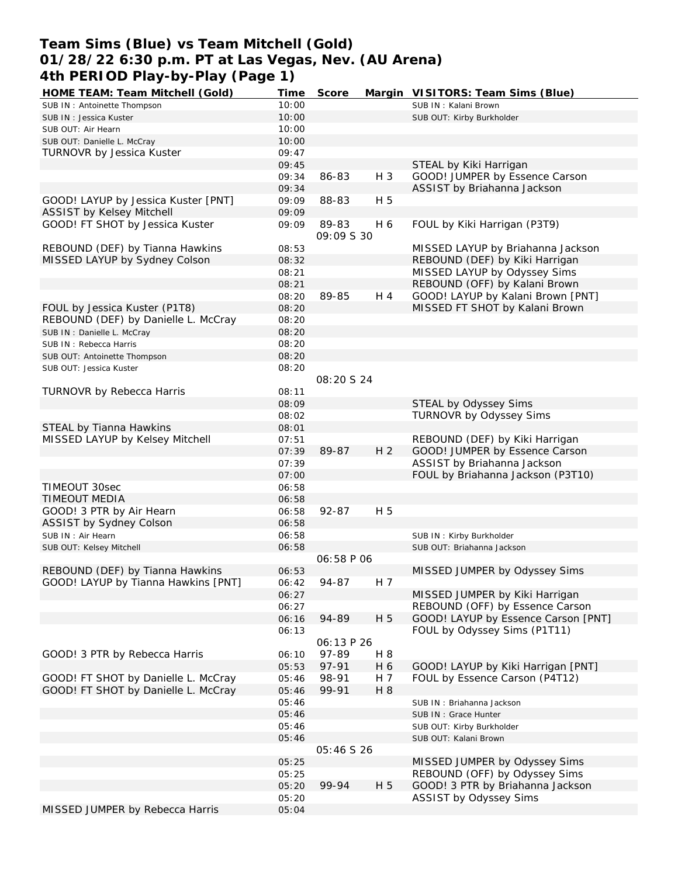## **Team Sims (Blue) vs Team Mitchell (Gold) 01/28/22 6:30 p.m. PT at Las Vegas, Nev. (AU Arena) 4th PERIOD Play-by-Play (Page 1)**

| HOME TEAM: Team Mitchell (Gold)     | Time  | Score             |                | Margin VISITORS: Team Sims (Blue)   |
|-------------------------------------|-------|-------------------|----------------|-------------------------------------|
| SUB IN: Antoinette Thompson         | 10:00 |                   |                | SUB IN: Kalani Brown                |
| SUB IN: Jessica Kuster              | 10:00 |                   |                | SUB OUT: Kirby Burkholder           |
| SUB OUT: Air Hearn                  | 10:00 |                   |                |                                     |
| SUB OUT: Danielle L. McCray         | 10:00 |                   |                |                                     |
| TURNOVR by Jessica Kuster           | 09:47 |                   |                |                                     |
|                                     | 09:45 |                   |                | STEAL by Kiki Harrigan              |
|                                     | 09:34 | 86-83             | H 3            | GOOD! JUMPER by Essence Carson      |
|                                     | 09:34 |                   |                | ASSIST by Briahanna Jackson         |
| GOOD! LAYUP by Jessica Kuster [PNT] | 09:09 | 88-83             | H 5            |                                     |
| ASSIST by Kelsey Mitchell           | 09:09 |                   |                |                                     |
| GOOD! FT SHOT by Jessica Kuster     | 09:09 | 89-83             | H 6            | FOUL by Kiki Harrigan (P3T9)        |
|                                     |       | <i>09:09 S 30</i> |                |                                     |
|                                     |       |                   |                |                                     |
| REBOUND (DEF) by Tianna Hawkins     | 08:53 |                   |                | MISSED LAYUP by Briahanna Jackson   |
| MISSED LAYUP by Sydney Colson       | 08:32 |                   |                | REBOUND (DEF) by Kiki Harrigan      |
|                                     | 08:21 |                   |                | MISSED LAYUP by Odyssey Sims        |
|                                     | 08:21 |                   |                | REBOUND (OFF) by Kalani Brown       |
|                                     | 08:20 | 89-85             | H 4            | GOOD! LAYUP by Kalani Brown [PNT]   |
| FOUL by Jessica Kuster (P1T8)       | 08:20 |                   |                | MISSED FT SHOT by Kalani Brown      |
| REBOUND (DEF) by Danielle L. McCray | 08:20 |                   |                |                                     |
| SUB IN: Danielle L. McCray          | 08:20 |                   |                |                                     |
| SUB IN: Rebecca Harris              | 08:20 |                   |                |                                     |
| SUB OUT: Antoinette Thompson        | 08:20 |                   |                |                                     |
| SUB OUT: Jessica Kuster             | 08:20 |                   |                |                                     |
|                                     |       | 08:20 S 24        |                |                                     |
| TURNOVR by Rebecca Harris           | 08:11 |                   |                |                                     |
|                                     | 08:09 |                   |                | STEAL by Odyssey Sims               |
|                                     | 08:02 |                   |                | TURNOVR by Odyssey Sims             |
| STEAL by Tianna Hawkins             | 08:01 |                   |                |                                     |
| MISSED LAYUP by Kelsey Mitchell     | 07:51 |                   |                | REBOUND (DEF) by Kiki Harrigan      |
|                                     | 07:39 | 89-87             | H <sub>2</sub> | GOOD! JUMPER by Essence Carson      |
|                                     | 07:39 |                   |                | ASSIST by Briahanna Jackson         |
|                                     | 07:00 |                   |                | FOUL by Briahanna Jackson (P3T10)   |
| TIMEOUT 30sec                       | 06:58 |                   |                |                                     |
| TIMEOUT MEDIA                       | 06:58 |                   |                |                                     |
| GOOD! 3 PTR by Air Hearn            | 06:58 | 92-87             | H 5            |                                     |
| ASSIST by Sydney Colson             | 06:58 |                   |                |                                     |
| SUB IN: Air Hearn                   | 06:58 |                   |                | SUB IN: Kirby Burkholder            |
|                                     | 06:58 |                   |                | SUB OUT: Briahanna Jackson          |
| SUB OUT: Kelsey Mitchell            |       | 06:58 P 06        |                |                                     |
|                                     | 06:53 |                   |                | MISSED JUMPER by Odyssey Sims       |
| REBOUND (DEF) by Tianna Hawkins     |       |                   |                |                                     |
| GOOD! LAYUP by Tianna Hawkins [PNT] | 06:42 | 94-87             | H 7            |                                     |
|                                     | 06:27 |                   |                | MISSED JUMPER by Kiki Harrigan      |
|                                     | 06:27 |                   |                | REBOUND (OFF) by Essence Carson     |
|                                     | 06:16 | 94-89             | H 5            | GOOD! LAYUP by Essence Carson [PNT] |
|                                     | 06:13 |                   |                | FOUL by Odyssey Sims (P1T11)        |
|                                     |       | <i>06:13 P 26</i> |                |                                     |
| GOOD! 3 PTR by Rebecca Harris       | 06:10 | 97-89             | H 8            |                                     |
|                                     | 05:53 | 97-91             | H 6            | GOOD! LAYUP by Kiki Harrigan [PNT]  |
| GOOD! FT SHOT by Danielle L. McCray | 05:46 | 98-91             | H 7            | FOUL by Essence Carson (P4T12)      |
| GOOD! FT SHOT by Danielle L. McCray | 05:46 | 99-91             | H 8            |                                     |
|                                     | 05:46 |                   |                | SUB IN: Briahanna Jackson           |
|                                     | 05:46 |                   |                | SUB IN: Grace Hunter                |
|                                     | 05:46 |                   |                | SUB OUT: Kirby Burkholder           |
|                                     | 05:46 |                   |                | SUB OUT: Kalani Brown               |
|                                     |       | 05:46 S 26        |                |                                     |
|                                     | 05:25 |                   |                | MISSED JUMPER by Odyssey Sims       |
|                                     | 05:25 |                   |                | REBOUND (OFF) by Odyssey Sims       |
|                                     | 05:20 | 99-94             | H 5            | GOOD! 3 PTR by Briahanna Jackson    |
|                                     | 05:20 |                   |                | ASSIST by Odyssey Sims              |
| MISSED JUMPER by Rebecca Harris     | 05:04 |                   |                |                                     |
|                                     |       |                   |                |                                     |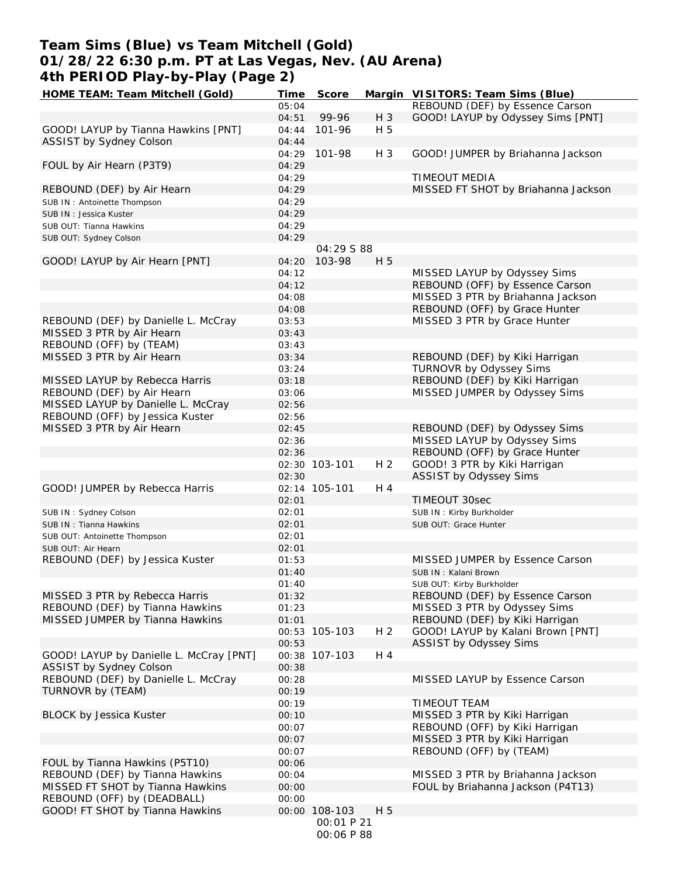## **Team Sims (Blue) vs Team Mitchell (Gold) 01/28/22 6:30 p.m. PT at Las Vegas, Nev. (AU Arena) 4th PERIOD Play-by-Play (Page 2)**

| HOME TEAM: Team Mitchell (Gold)         | Time           | Score         |                | Margin VISITORS: Team Sims (Blue)                             |
|-----------------------------------------|----------------|---------------|----------------|---------------------------------------------------------------|
|                                         | 05:04          |               |                | REBOUND (DEF) by Essence Carson                               |
|                                         | 04:51          | 99-96         | H 3            | GOOD! LAYUP by Odyssey Sims [PNT]                             |
| GOOD! LAYUP by Tianna Hawkins [PNT]     | 04:44          | 101-96        | H 5            |                                                               |
| ASSIST by Sydney Colson                 | 04:44          |               |                |                                                               |
|                                         | 04:29          | 101-98        | $H_3$          | GOOD! JUMPER by Briahanna Jackson                             |
| FOUL by Air Hearn (P3T9)                | 04:29          |               |                |                                                               |
|                                         | 04:29          |               |                | TIMEOUT MEDIA                                                 |
| REBOUND (DEF) by Air Hearn              | 04:29          |               |                | MISSED FT SHOT by Briahanna Jackson                           |
| SUB IN: Antoinette Thompson             | 04:29          |               |                |                                                               |
| SUB IN: Jessica Kuster                  | 04:29          |               |                |                                                               |
| SUB OUT: Tianna Hawkins                 | 04:29          |               |                |                                                               |
| SUB OUT: Sydney Colson                  | 04:29          |               |                |                                                               |
|                                         |                | 04:29 S 88    |                |                                                               |
| GOOD! LAYUP by Air Hearn [PNT]          | 04:20          | 103-98        | H 5            |                                                               |
|                                         | 04:12          |               |                | MISSED LAYUP by Odyssey Sims                                  |
|                                         | 04:12          |               |                | REBOUND (OFF) by Essence Carson                               |
|                                         | 04:08          |               |                | MISSED 3 PTR by Briahanna Jackson                             |
|                                         | 04:08          |               |                | REBOUND (OFF) by Grace Hunter                                 |
| REBOUND (DEF) by Danielle L. McCray     | 03:53          |               |                | MISSED 3 PTR by Grace Hunter                                  |
| MISSED 3 PTR by Air Hearn               | 03:43          |               |                |                                                               |
| REBOUND (OFF) by (TEAM)                 | 03:43          |               |                |                                                               |
| MISSED 3 PTR by Air Hearn               | 03:34          |               |                | REBOUND (DEF) by Kiki Harrigan                                |
|                                         | 03:24          |               |                | TURNOVR by Odyssey Sims                                       |
| MISSED LAYUP by Rebecca Harris          | 03:18          |               |                | REBOUND (DEF) by Kiki Harrigan                                |
| REBOUND (DEF) by Air Hearn              | 03:06          |               |                | MISSED JUMPER by Odyssey Sims                                 |
| MISSED LAYUP by Danielle L. McCray      | 02:56          |               |                |                                                               |
| REBOUND (OFF) by Jessica Kuster         | 02:56          |               |                |                                                               |
| MISSED 3 PTR by Air Hearn               | 02:45          |               |                | REBOUND (DEF) by Odyssey Sims<br>MISSED LAYUP by Odyssey Sims |
|                                         | 02:36<br>02:36 |               |                | REBOUND (OFF) by Grace Hunter                                 |
|                                         |                | 02:30 103-101 | H <sub>2</sub> | GOOD! 3 PTR by Kiki Harrigan                                  |
|                                         | 02:30          |               |                | ASSIST by Odyssey Sims                                        |
| GOOD! JUMPER by Rebecca Harris          |                | 02:14 105-101 | H 4            |                                                               |
|                                         | 02:01          |               |                | TIMEOUT 30sec                                                 |
| SUB IN: Sydney Colson                   | 02:01          |               |                | SUB IN: Kirby Burkholder                                      |
| SUB IN: Tianna Hawkins                  | 02:01          |               |                | SUB OUT: Grace Hunter                                         |
| SUB OUT: Antoinette Thompson            | 02:01          |               |                |                                                               |
| SUB OUT: Air Hearn                      | 02:01          |               |                |                                                               |
| REBOUND (DEF) by Jessica Kuster         | 01:53          |               |                | MISSED JUMPER by Essence Carson                               |
|                                         | 01:40          |               |                | SUB IN: Kalani Brown                                          |
|                                         | 01:40          |               |                | SUB OUT: Kirby Burkholder                                     |
| MISSED 3 PTR by Rebecca Harris          | 01:32          |               |                | REBOUND (DEF) by Essence Carson                               |
| REBOUND (DEF) by Tianna Hawkins         | 01:23          |               |                | MISSED 3 PTR by Odyssey Sims                                  |
| MISSED JUMPER by Tianna Hawkins         | 01:01          |               |                | REBOUND (DEF) by Kiki Harrigan                                |
|                                         |                | 00:53 105-103 | H <sub>2</sub> | GOOD! LAYUP by Kalani Brown [PNT]                             |
|                                         | 00:53          |               |                | ASSIST by Odyssey Sims                                        |
| GOOD! LAYUP by Danielle L. McCray [PNT] |                | 00:38 107-103 | H 4            |                                                               |
| ASSIST by Sydney Colson                 | 00:38          |               |                |                                                               |
| REBOUND (DEF) by Danielle L. McCray     | 00:28          |               |                | MISSED LAYUP by Essence Carson                                |
| TURNOVR by (TEAM)                       | 00:19          |               |                |                                                               |
|                                         | 00:19          |               |                | TIMEOUT TEAM                                                  |
| <b>BLOCK by Jessica Kuster</b>          | 00:10          |               |                | MISSED 3 PTR by Kiki Harrigan                                 |
|                                         | 00:07          |               |                | REBOUND (OFF) by Kiki Harrigan                                |
|                                         | 00:07          |               |                | MISSED 3 PTR by Kiki Harrigan                                 |
|                                         | 00:07          |               |                | REBOUND (OFF) by (TEAM)                                       |
| FOUL by Tianna Hawkins (P5T10)          | 00:06          |               |                |                                                               |
| REBOUND (DEF) by Tianna Hawkins         | 00:04          |               |                | MISSED 3 PTR by Briahanna Jackson                             |
| MISSED FT SHOT by Tianna Hawkins        | 00:00          |               |                | FOUL by Briahanna Jackson (P4T13)                             |
| REBOUND (OFF) by (DEADBALL)             | 00:00          |               |                |                                                               |
| GOOD! FT SHOT by Tianna Hawkins         |                | 00:00 108-103 | H 5            |                                                               |
|                                         |                | 00:01 P 21    |                |                                                               |
|                                         |                | 00:06 P 88    |                |                                                               |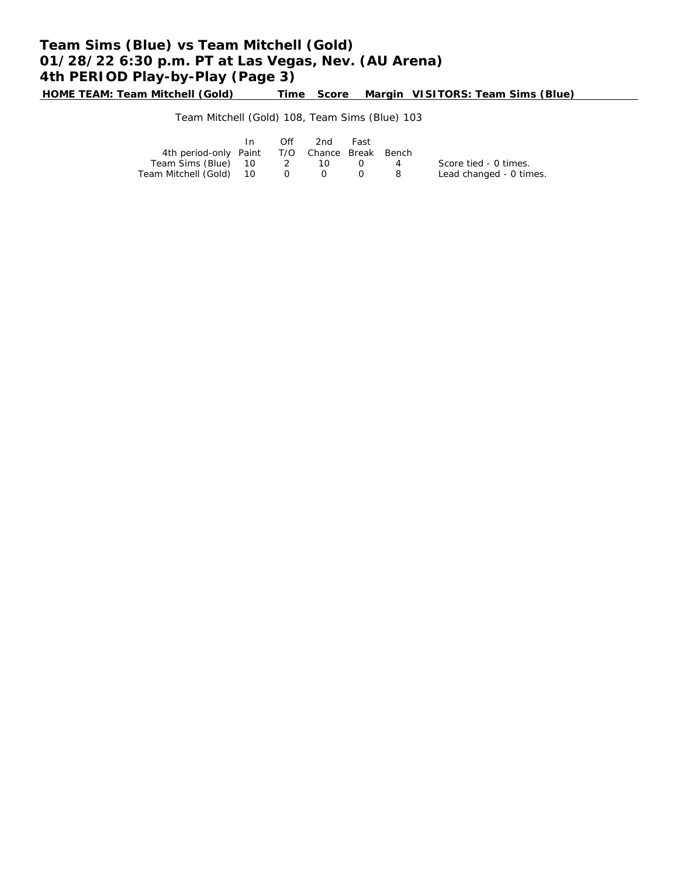# **Team Sims (Blue) vs Team Mitchell (Gold) 01/28/22 6:30 p.m. PT at Las Vegas, Nev. (AU Arena) 4th PERIOD Play-by-Play (Page 3)**

**HOME TEAM: Team Mitchell (Gold) Time Score Margin VISITORS: Team Sims (Blue)**

### Team Mitchell (Gold) 108, Team Sims (Blue) 103

|                                              | In. | Off | 2nd -             | Fast |                |                         |
|----------------------------------------------|-----|-----|-------------------|------|----------------|-------------------------|
| 4th period-only Paint T/O Chance Break Bench |     |     |                   |      |                |                         |
| Team Sims (Blue) 10 2 10                     |     |     |                   |      | $\overline{4}$ | Score tied - 0 times.   |
| Team Mitchell (Gold) 10                      |     |     | $\Omega$ $\Omega$ |      | - 8            | Lead changed - 0 times. |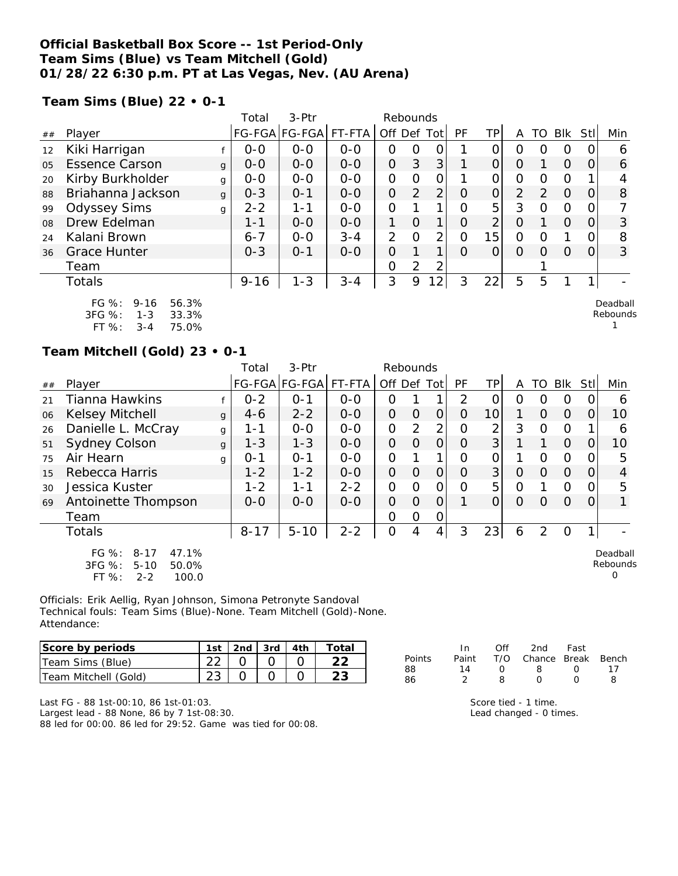### **Official Basketball Box Score -- 1st Period-Only Team Sims (Blue) vs Team Mitchell (Gold) 01/28/22 6:30 p.m. PT at Las Vegas, Nev. (AU Arena)**

**Team Sims (Blue) 22 • 0-1**

|                |                                                              |              | Total    | $3-$ Ptr              |         | Rebounds       |          |                 |    |                |                |          |                |          |                      |
|----------------|--------------------------------------------------------------|--------------|----------|-----------------------|---------|----------------|----------|-----------------|----|----------------|----------------|----------|----------------|----------|----------------------|
| ##             | Player                                                       |              |          | FG-FGA FG-FGA  FT-FTA |         | Off Def Tot    |          |                 | PF | ΤP             | A              | TO.      | Blk            | Stll     | Min                  |
| 12             | Kiki Harrigan                                                |              | $0 - 0$  | $O-O$                 | $0 - 0$ | Ο              | 0        |                 |    | Ω.             | 0              | O        | O              |          | 6                    |
| 0 <sub>5</sub> | <b>Essence Carson</b>                                        | $\mathbf{q}$ | $O-O$    | $0 - 0$               | $0 - 0$ | 0              | 3        | 3               |    | 0              | 0              |          | $\Omega$       | $\Omega$ | 6                    |
| 20             | Kirby Burkholder                                             | g            | $O-O$    | $0 - 0$               | $0 - 0$ | O              | Ω        |                 |    | 0              | 0              | $\Omega$ | $\circ$        |          |                      |
| 88             | Briahanna Jackson                                            | g            | $0 - 3$  | $O - 1$               | $0-0$   | 0              | 2        | $\overline{2}$  | 0  | 0              | $\overline{2}$ | 2        | $\overline{O}$ | O        | 8                    |
| 99             | <b>Odyssey Sims</b>                                          | g            | $2 - 2$  | $1 - 1$               | $0 - 0$ | O              |          |                 | O  | 5              | 3              | $\Omega$ | $\Omega$       |          |                      |
| 08             | Drew Edelman                                                 |              | $1 - 1$  | $0 - 0$               | $0 - 0$ | 1              | $\Omega$ | 1 <sub>1</sub>  | 0  | $\overline{2}$ | 0              |          | $\Omega$       |          | 3                    |
| 24             | Kalani Brown                                                 |              | $6 - 7$  | $O-O$                 | $3 - 4$ | $\overline{2}$ | O        | $\overline{2}$  | Ω  | 15             | 0              | $\Omega$ |                |          | 8                    |
| 36             | <b>Grace Hunter</b>                                          |              | $O - 3$  | $O - 1$               | $0 - 0$ | O              |          | 1 <sub>1</sub>  | O  | 0              | $\Omega$       | $\Omega$ | $\Omega$       | O        | 3                    |
|                | Team                                                         |              |          |                       |         | 0              | 2        | $\overline{2}$  |    |                |                |          |                |          |                      |
|                | Totals                                                       |              | $9 - 16$ | $1 - 3$               | $3 - 4$ | 3              | 9        | 12 <sub>1</sub> | 3  | 22             | 5              | 5        |                |          |                      |
|                | $FG \%$ :<br>56.3%<br>$9 - 16$<br>3FG %:<br>33.3%<br>$1 - 3$ |              |          |                       |         |                |          |                 |    |                |                |          |                |          | Deadball<br>Rebounds |

FT %: 3-4 75.0%

#### **Team Mitchell (Gold) 23 • 0-1**

|    |                                                                                            |              | Total    | $3-Ptr$       | Rebounds |                |                |                |               |                 |          |               |          |      |                           |
|----|--------------------------------------------------------------------------------------------|--------------|----------|---------------|----------|----------------|----------------|----------------|---------------|-----------------|----------|---------------|----------|------|---------------------------|
| ## | Player                                                                                     |              |          | FG-FGA FG-FGA | FT-FTA   | Off Def Tot    |                |                | <b>PF</b>     | TP              | A        | TO.           | Blk      | Stll | Min                       |
| 21 | <b>Tianna Hawkins</b>                                                                      |              | $0 - 2$  | 0-1           | $0 - 0$  | Ο              |                |                | $\mathcal{P}$ | 0               | $\Omega$ | Ω             | O        | O    | 6                         |
| 06 | Kelsey Mitchell                                                                            | $\mathbf{q}$ | $4 - 6$  | $2 - 2$       | $0 - 0$  | $\overline{O}$ | $\overline{O}$ | $\mathbf 0$    | $\Omega$      | 10 <sup>1</sup> |          | $\Omega$      | $\Omega$ | 0    | 10                        |
| 26 | Danielle L. McCray                                                                         | g            | 1-1      | $0 - 0$       | $O-O$    | $\overline{O}$ | 2              | 2              | Ο             | 2               | 3        | 0             | O        |      | 6                         |
| 51 | <b>Sydney Colson</b>                                                                       | g            | $1 - 3$  | $1 - 3$       | $0-0$    | $\overline{O}$ | $\Omega$       | $\overline{O}$ | O             | 3               |          |               | 0        | O    | 10                        |
| 75 | Air Hearn                                                                                  | q            | $O - 1$  | $0 - 1$       | $0 - 0$  | $\overline{O}$ |                |                | O             | 0               |          | 0             | O        | O    | 5                         |
| 15 | Rebecca Harris                                                                             |              | $1 - 2$  | $1 - 2$       | $0 - 0$  | 0              | $\Omega$       | $\overline{O}$ | $\Omega$      | 3 <sup>1</sup>  | $\Omega$ | $\Omega$      | $\Omega$ | 0    | 4                         |
| 30 | Jessica Kuster                                                                             |              | $1 - 2$  | 1-1           | $2 - 2$  | 0              | O              | $\overline{O}$ | $\Omega$      | 5               | O        |               | $\Omega$ | 0    | 5                         |
| 69 | Antoinette Thompson                                                                        |              | $0 - 0$  | $O-O$         | $O-O$    | 0              | $\Omega$       | 0              |               | $\Omega$        | $\Omega$ | Ω             | $\Omega$ | 0    |                           |
|    | Team                                                                                       |              |          |               |          | O              | 0              | O              |               |                 |          |               |          |      |                           |
|    | Totals                                                                                     |              | $8 - 17$ | $5 - 10$      | $2 - 2$  | $\overline{O}$ | 4              | 4              | 3             | 23              | 6        | $\mathcal{P}$ | O        | 1    |                           |
|    | 47.1%<br>$FG \%$ :<br>$8 - 17$<br>3FG %:<br>$5 - 10$<br>50.0%<br>FT %:<br>100.0<br>$2 - 2$ |              |          |               |          |                |                |                |               |                 |          |               |          |      | Deadball<br>Rebounds<br>O |

Officials: Erik Aellig, Ryan Johnson, Simona Petronyte Sandoval Technical fouls: Team Sims (Blue)-None. Team Mitchell (Gold)-None. Attendance:

| Score by periods      | 1st $\vert$ 2nd $\vert$ 3rd $\vert$ 4th |  | Totai |
|-----------------------|-----------------------------------------|--|-------|
| Team Sims (Blue)      |                                         |  |       |
| 'Team Mitchell (Gold) |                                         |  |       |

|        | In In |          | Off 2nd Fast                 |                  |     |
|--------|-------|----------|------------------------------|------------------|-----|
| Points |       |          | Paint T/O Chance Break Bench |                  |     |
| 88     | 14    | $\Omega$ | <b>B B</b>                   | $\Omega$         | -17 |
| 86     |       | я        | $\left( \right)$             | $\left( \right)$ | я   |

1

Last FG - 88 1st-00:10, 86 1st-01:03.

Largest lead - 88 None, 86 by 7 1st-08:30. 88 led for 00:00. 86 led for 29:52. Game was tied for 00:08.

Score tied - 1 time.

Lead changed - 0 times.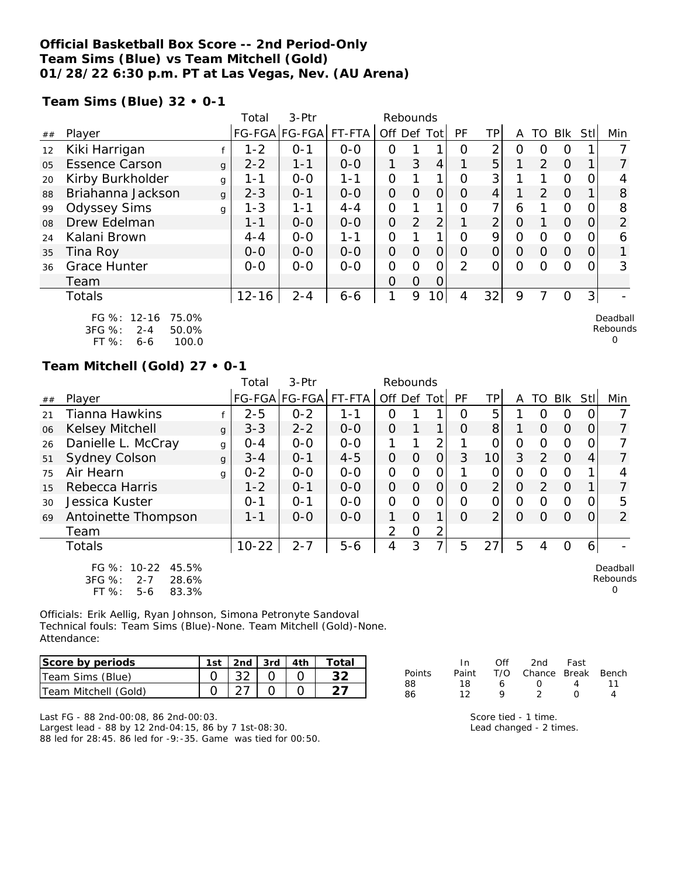#### **Official Basketball Box Score -- 2nd Period-Only Team Sims (Blue) vs Team Mitchell (Gold) 01/28/22 6:30 p.m. PT at Las Vegas, Nev. (AU Arena)**

**Team Sims (Blue) 32 • 0-1**

|    |                                                                                 |   | Total     | 3-Ptr         | Rebounds |                |                |                |                |                |                |                |               |         |                           |
|----|---------------------------------------------------------------------------------|---|-----------|---------------|----------|----------------|----------------|----------------|----------------|----------------|----------------|----------------|---------------|---------|---------------------------|
| ## | Player                                                                          |   |           | FG-FGA FG-FGA | FT-FTA   | Off Def Tot    |                |                | PF             | <b>TP</b>      | A              | TO             |               | Blk Stl | Min                       |
| 12 | Kiki Harrigan                                                                   |   | $1 - 2$   | $0 - 1$       | $0 - 0$  | 0              |                |                | O              | 2              | 0              | 0              | $\Omega$      |         |                           |
| 05 | <b>Essence Carson</b>                                                           | g | $2 - 2$   | $1 - 1$       | $0-0$    | 1              | 3              | 4              |                | 5              | 1              | $\overline{2}$ | $\Omega$      |         | 7                         |
| 20 | Kirby Burkholder                                                                | g | $1 - 1$   | $0-0$         | $1 - 1$  | 0              |                |                | $\overline{O}$ | 3              |                |                | $\Omega$      | 0       | 4                         |
| 88 | Briahanna Jackson                                                               | g | $2 - 3$   | $0 - 1$       | $O-O$    | $\overline{O}$ | 0              | 0              | $\Omega$       | 4              |                | 2              | 0             |         | 8                         |
| 99 | <b>Odyssey Sims</b>                                                             | g | $1 - 3$   | $1 - 1$       | $4 - 4$  | O              |                |                | O              | $\overline{7}$ | 6              |                | $\Omega$      | O       | 8                         |
| 08 | Drew Edelman                                                                    |   | $1 - 1$   | $0-0$         | $0-0$    | $\overline{O}$ | $\overline{2}$ | 2              |                | $\overline{2}$ | 0              |                | $\Omega$      | O       | $\overline{2}$            |
| 24 | Kalani Brown                                                                    |   | $4 - 4$   | $0-0$         | $1 - 1$  | $\overline{O}$ |                | 1              | 0              | 9              | $\mathcal{O}$  | $\mathcal{O}$  | $\Omega$      | 0       | 6                         |
| 35 | Tina Roy                                                                        |   | $0-0$     | $0-0$         | $O-O$    | $\mathsf O$    | 0              | $\mathcal{O}$  | 0              | $\Omega$       | $\overline{O}$ | $\overline{O}$ | $\mathcal{O}$ | 0       | 1                         |
| 36 | Grace Hunter                                                                    |   | $0-0$     | $0-0$         | $0 - 0$  | 0              | 0              | $\overline{O}$ | $\mathcal{P}$  | 0              | $\Omega$       | $\Omega$       | 0             | 0       | 3                         |
|    | Team                                                                            |   |           |               |          | 0              | $\overline{O}$ | $\overline{O}$ |                |                |                |                |               |         |                           |
|    | Totals                                                                          |   | $12 - 16$ | $2 - 4$       | 6-6      | 1              | 9              | 10             | 4              | 32             | 9              | 7              | $\Omega$      | 3       |                           |
|    | FG %: 12-16<br>75.0%<br>3FG %:<br>50.0%<br>$2 - 4$<br>FT %:<br>100.0<br>$6 - 6$ |   |           |               |          |                |                |                |                |                |                |                |               |         | Deadball<br>Rebounds<br>O |
|    | Team Mitchell (Gold) 27 • 0-1                                                   |   |           |               |          |                |                |                |                |                |                |                |               |         |                           |
|    |                                                                                 |   | Total     | 3-Ptr         |          | Rebounds       |                |                |                |                |                |                |               |         |                           |
| ## | Player                                                                          |   |           | FG-FGA FG-FGA | FT-FTA   | Off Def Tot    |                |                | PF             | <b>TP</b>      | A              | TO             | Blk           | Stl     | Min                       |
| 21 | Tianna Hawkins                                                                  |   | $2 - 5$   | $0 - 2$       | $1 - 1$  | 0              |                |                | O              | 5              |                | 0              | O             | 0       | 7                         |

| 06 | <b>Kelsey Mitchell</b>                                                              | g | $3 - 3$   | $2 - 2$ | $0 - 0$ | $\Omega$ |          |   | $\Omega$ | 8 <sup>1</sup>  |          | O |          | $\Omega$ | 7                     |
|----|-------------------------------------------------------------------------------------|---|-----------|---------|---------|----------|----------|---|----------|-----------------|----------|---|----------|----------|-----------------------|
| 26 | Danielle L. McCray                                                                  | g | $O - 4$   | $O-O$   | $O-O$   |          |          | ◠ |          |                 | Ω        | O | O        | 0        | 7                     |
| 51 | <b>Sydney Colson</b>                                                                | g | $3 - 4$   | $O - 1$ | $4 - 5$ | $\Omega$ | $\Omega$ |   | 3        | 10 <sub>1</sub> | 3        | 2 |          | 4        | 7                     |
| 75 | Air Hearn                                                                           | g | $0 - 2$   | $O-O$   | $0-0$   | O        | O        |   |          | O               | O        | 0 |          |          | 4                     |
| 15 | Rebecca Harris                                                                      |   | $1 - 2$   | $O - 1$ | $0-0$   | 0        | $\Omega$ |   | $\Omega$ |                 | 0        | 2 | $\Omega$ | 1        | 7                     |
| 30 | Jessica Kuster                                                                      |   | $O - 1$   | $0 - 1$ | $O-O$   | 0        | 0        |   | $\Omega$ | 0               | 0        | 0 | Ω        | 0        | 5                     |
| 69 | Antoinette Thompson                                                                 |   | $1 - 1$   | $O-O$   | $O-O$   |          | $\Omega$ |   | $\Omega$ |                 | $\Omega$ | 0 | $\Omega$ | $\Omega$ | 2                     |
|    | Team                                                                                |   |           |         |         | 2        | $\Omega$ | 2 |          |                 |          |   |          |          |                       |
|    | Totals                                                                              |   | $10 - 22$ | $2 - 7$ | $5 - 6$ | 4        | 3        |   | 5        | 27              | 5        | 4 | O        | 6        |                       |
|    | FG %: 10-22<br>45.5%<br>$3FG \%$ :<br>$2 - 7$<br>28.6%<br>FT %:<br>83.3%<br>$5 - 6$ |   |           |         |         |          |          |   |          |                 |          |   |          |          | Deadba<br>Reboun<br>0 |

Officials: Erik Aellig, Ryan Johnson, Simona Petronyte Sandoval Technical fouls: Team Sims (Blue)-None. Team Mitchell (Gold)-None. Attendance:

| Score by periods     | 1st   2nd   3rd   4th |  | Total |
|----------------------|-----------------------|--|-------|
| Team Sims (Blue)     |                       |  |       |
| Team Mitchell (Gold) |                       |  |       |

|        | In.   | Off | 2nd                    | Fast |    |
|--------|-------|-----|------------------------|------|----|
| Points | Paint |     | T/O Chance Break Bench |      |    |
| 88     | 18    | 6.  | $\left( \right)$       | 4    | 11 |
| 86     | 12    | Q   | $\mathcal{D}$          | O    |    |
|        |       |     |                        |      |    |

Deadball Rebounds 0

Last FG - 88 2nd-00:08, 86 2nd-00:03. Largest lead - 88 by 12 2nd-04:15, 86 by 7 1st-08:30. 88 led for 28:45. 86 led for -9:-35. Game was tied for 00:50.

Score tied - 1 time. Lead changed - 2 times.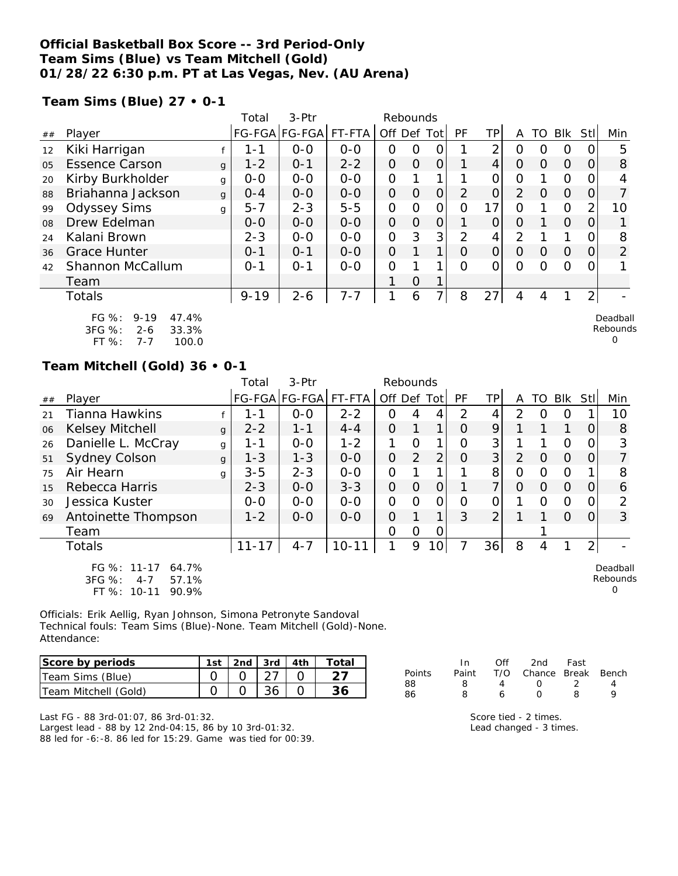#### **Official Basketball Box Score -- 3rd Period-Only Team Sims (Blue) vs Team Mitchell (Gold) 01/28/22 6:30 p.m. PT at Las Vegas, Nev. (AU Arena)**

**Team Sims (Blue) 27 • 0-1**

|                |                                                                                                                        |              | Total    | 3-Ptr         |         |                | Rebounds       |                |                |                |                |          |                |                |                |
|----------------|------------------------------------------------------------------------------------------------------------------------|--------------|----------|---------------|---------|----------------|----------------|----------------|----------------|----------------|----------------|----------|----------------|----------------|----------------|
| ##             | Player                                                                                                                 |              |          | FG-FGA FG-FGA | FT-FTA  | Off Def Tot    |                |                | PF             | TP             | A              | TO       | <b>Blk</b>     | <b>StII</b>    | Min            |
| 12             | Kiki Harrigan                                                                                                          |              | 1-1      | $O-O$         | $0 - 0$ | O              | O              | 0              |                | 2              | 0              | Ω        | $\circ$        | 0              | 5              |
| 0 <sub>5</sub> | <b>Essence Carson</b>                                                                                                  | $\mathbf{q}$ | $1 - 2$  | $0 - 1$       | $2 - 2$ | 0              | $\overline{O}$ | $\Omega$       |                | $\overline{4}$ | $\Omega$       | $\Omega$ | $\Omega$       | 0              | 8              |
| 20             | Kirby Burkholder                                                                                                       | g            | $0-0$    | $O-O$         | $0-0$   | $\overline{O}$ |                |                |                | 0              | $\overline{O}$ |          | $\Omega$       | O              | 4              |
| 88             | Briahanna Jackson                                                                                                      | g            | $0 - 4$  | $O-O$         | $0 - 0$ | 0              | 0              | $\mathbf 0$    | $\overline{2}$ | 0              | $\overline{2}$ | $\Omega$ | $\Omega$       | O              |                |
| 99             | <b>Odyssey Sims</b>                                                                                                    | q            | $5 - 7$  | $2 - 3$       | $5-5$   | $\overline{O}$ | 0              | $\overline{O}$ | O              | 17             | $\mathcal{O}$  |          | $\Omega$       | 2              | 10             |
| 08             | Drew Edelman                                                                                                           |              | $0-0$    | $0-0$         | $0-0$   | $\mathcal{O}$  | 0              | 0              |                | 0              | $\overline{O}$ |          | 0              | 0              |                |
| 24             | Kalani Brown                                                                                                           |              | $2 - 3$  | $O-O$         | $0-0$   | 0              | 3              | 3              | $\overline{2}$ | 4              | $\overline{2}$ |          | 1              | $\Omega$       | 8              |
| 36             | <b>Grace Hunter</b>                                                                                                    |              | $0 - 1$  | $0 - 1$       | $0-0$   | $\overline{O}$ |                | 1              | $\overline{O}$ | $\overline{O}$ | $\overline{O}$ | $\Omega$ | $\overline{O}$ | 0              | $\overline{2}$ |
| 42             | Shannon McCallum                                                                                                       |              | $0 - 1$  | $0 - 1$       | $0-0$   | $\overline{O}$ |                |                | $\Omega$       | $\Omega$       | $\Omega$       | $\Omega$ | $\Omega$       | $\Omega$       |                |
|                | Team                                                                                                                   |              |          |               |         |                | 0              |                |                |                |                |          |                |                |                |
|                | Totals                                                                                                                 |              | $9 - 19$ | $2 - 6$       | $7 - 7$ | 1              | 6              | 7              | 8              | 27             | 4              | 4        | 1              | $\overline{2}$ |                |
|                | $FG \%$ :<br>$9 - 19$<br>47.4%<br>Deadball<br>3FG %:<br>Rebounds<br>$2 - 6$<br>33.3%<br>O<br>FT %:<br>$7 - 7$<br>100.0 |              |          |               |         |                |                |                |                |                |                |          |                |                |                |
|                | Team Mitchell (Gold) 36 · 0-1                                                                                          |              |          |               |         |                |                |                |                |                |                |          |                |                |                |
|                |                                                                                                                        |              | Total    | 3-Ptr         |         |                | Rebounds       |                |                |                |                |          |                |                |                |
| ##             | Player                                                                                                                 |              |          | FG-FGA FG-FGA | FT-FTA  | Off Def Tot    |                |                | PF             | <b>TP</b>      | A              | TO       | <b>Blk</b>     | Stll           | Min            |
| 21             | Tianna Hawkins                                                                                                         |              | $1 - 1$  | $O-O$         | $2 - 2$ | 0              | 4              | 4              | $\overline{2}$ | 4              | $\overline{2}$ | $\Omega$ | $\Omega$       |                | 10             |
| 06             | <b>Kelsey Mitchell</b>                                                                                                 | g            | $2 - 2$  | $1 - 1$       | 4-4     | 0              |                | 1              | O              | 9              |                |          |                | 0              | 8              |

26 Danielle L. McCray g 1-1 | 0-0 | 1-2 | 1 0 1 | 0 3 | 1 1 0 0 | 3 51 Sydney Colson g | 1-3 | 1-3 | 0-0 | 0 2 2 | 0 3 | 2 0 0 0 | 7 75 Air Hearn g 3-5 2-3 0-0 0 1 1 1 8 0 0 0 1 8 15 Rebecca Harris 2-3 0-0 3-3 0 0 0 1 7 0 0 0 0 6 30 Jessica Kuster 1 0-0 0-0 0-0 0-0 0 0 0 0 0 1 0 0 0 2 69 Antoinette Thompson | 1-2 | 0-0 | 0-0 | 0 1 1 | 3 2 | 1 1 0 0 | 3

Totals 11-17 4-7 10-11 1 9 10 7 36 8 4 1 2 -

Team | | | | 0 0 0| | 1

FG %: 11-17 64.7% 3FG %: 4-7 57.1% FT %: 10-11 90.9%

Deadball Rebounds 0

Officials: Erik Aellig, Ryan Johnson, Simona Petronyte Sandoval Technical fouls: Team Sims (Blue)-None. Team Mitchell (Gold)-None. Attendance:

| Score by periods     |  |    | 1st   2nd   3rd   4th   Total |
|----------------------|--|----|-------------------------------|
| Team Sims (Blue)     |  |    |                               |
| Team Mitchell (Gold) |  | 36 |                               |

|        | In In |    | Off 2nd                      | Fast          |  |
|--------|-------|----|------------------------------|---------------|--|
| Points |       |    | Paint T/O Chance Break Bench |               |  |
| 88     | 8.    | 4  | $\left( \right)$             | $\mathcal{L}$ |  |
| 86     | 8.    | 6. | O                            | я             |  |
|        |       |    |                              |               |  |

Last FG - 88 3rd-01:07, 86 3rd-01:32. Largest lead - 88 by 12 2nd-04:15, 86 by 10 3rd-01:32. 88 led for -6:-8. 86 led for 15:29. Game was tied for 00:39.

Score tied - 2 times. Lead changed - 3 times.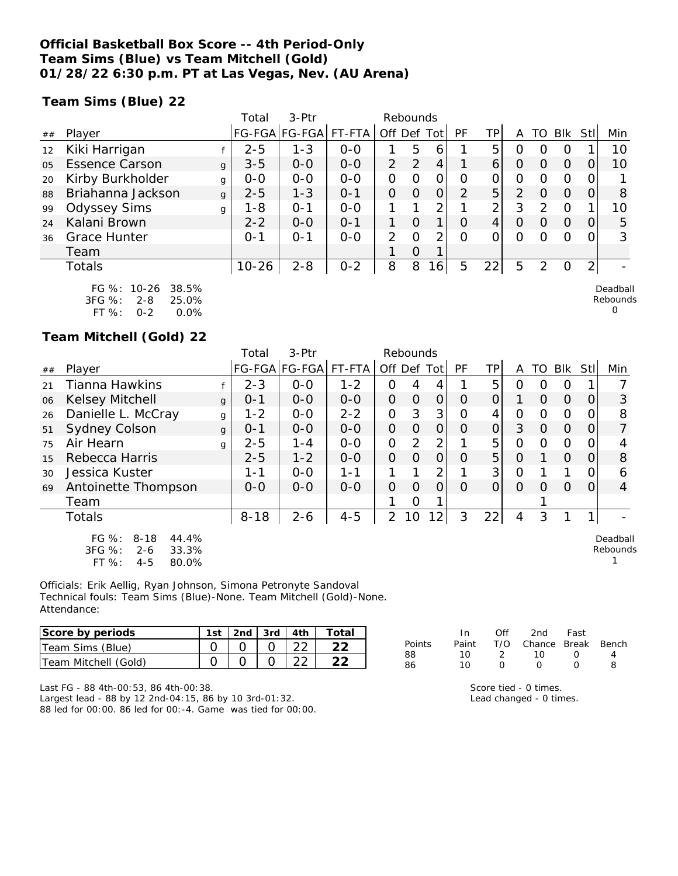### **Official Basketball Box Score -- 4th Period-Only Team Sims (Blue) vs Team Mitchell (Gold) 01/28/22 6:30 p.m. PT at Las Vegas, Nev. (AU Arena)**

**Team Sims (Blue) 22**

|                |                       |              | Total     | $3-$ Ptr      |         | Rebounds       |          |                 |          |                |          |                  |            |          |          |
|----------------|-----------------------|--------------|-----------|---------------|---------|----------------|----------|-----------------|----------|----------------|----------|------------------|------------|----------|----------|
| ##             | Player                |              |           | FG-FGA FG-FGA | FT-FTA  | Off Def        |          | Tot             | PF       | TPI            | Α        | TO               | <b>Blk</b> | Stl      | Min      |
| 12             | Kiki Harrigan         |              | $2 - 5$   | $1 - 3$       | $0-0$   |                | 5        | 6               |          | 5              | O        | $\left( \right)$ | O          |          | 10       |
| 0 <sub>5</sub> | <b>Essence Carson</b> | g            | $3 - 5$   | $0 - 0$       | $0 - 0$ | $\overline{2}$ | 2        | 4               |          | 6              | $\Omega$ | 0                | $\Omega$   | 0        | 10       |
| 20             | Kirby Burkholder      | g            | $0 - 0$   | $0 - 0$       | $0 - 0$ | O              | $\Omega$ | $\overline{O}$  | $\Omega$ | 0              | O        | O                | $\Omega$   |          |          |
| 88             | Briahanna Jackson     | $\mathbf{q}$ | $2 - 5$   | $1 - 3$       | $O - 1$ | 0              | $\Omega$ | $\Omega$        | 2        | 5              | 2        | 0                | $\Omega$   | $\Omega$ | 8        |
| 99             | <b>Odyssey Sims</b>   | g            | 1-8       | $O - 1$       | $0 - 0$ |                |          | 2               |          | 2              | 3        | $\mathcal{P}$    | $\Omega$   |          | 10       |
| 24             | Kalani Brown          |              | $2 - 2$   | $0-0$         | $O - 1$ |                | $\Omega$ | 1               | $\Omega$ | $\overline{4}$ | $\Omega$ | $\Omega$         | $\Omega$   | 0        | 5        |
| 36             | Grace Hunter          |              | $O - 1$   | $O - 1$       | $0 - 0$ | 2              | $\Omega$ | 2               | $\Omega$ |                | O        | O                | $\Omega$   | $\Omega$ | 3        |
|                | Team                  |              |           |               |         |                | $\Omega$ |                 |          |                |          |                  |            |          |          |
|                | Totals                |              | $10 - 26$ | $2 - 8$       | $0 - 2$ | 8              | 8        | 16 <sub>1</sub> | 5        | 22             | 5        | $\mathcal{P}$    | O          | 2        |          |
|                | FG %: 10-26 38.5%     |              |           |               |         |                |          |                 |          |                |          |                  |            |          | Deadball |

| I VJ 70.   | I ∪−∠∪ | - 90.970 |
|------------|--------|----------|
| $3FG \%$ : | 2-8    | 25.0%    |
| FT %:      | 0-2    | $0.0\%$  |

**Team Mitchell (Gold) 22**

|    |                                                                                           |              | Total    | 3-Ptr                | Rebounds |                |          |          |          |                |          |          |          |          |                      |
|----|-------------------------------------------------------------------------------------------|--------------|----------|----------------------|----------|----------------|----------|----------|----------|----------------|----------|----------|----------|----------|----------------------|
| ## | Player                                                                                    |              |          | FG-FGA FG-FGA FT-FTA |          | Off Def Tot    |          |          | PF       | TP             | A        | TO       | Blk      | Stll     | Min                  |
| 21 | <b>Tianna Hawkins</b>                                                                     |              | $2 - 3$  | $0 - 0$              | $1 - 2$  | 0              | 4        | 4        |          | 5              | O        | $\left($ | $\Omega$ |          |                      |
| 06 | <b>Kelsey Mitchell</b>                                                                    | $\mathbf{q}$ | $O - 1$  | $0 - 0$              | $0 - 0$  | $\Omega$       | $\Omega$ | $\Omega$ | $\Omega$ | 0              |          | $\Omega$ | $\Omega$ | $\Omega$ | 3                    |
| 26 | Danielle L. McCray                                                                        | g            | $1 - 2$  | $0 - 0$              | $2 - 2$  | O              | 3        | 3        | O        | 4              | $\Omega$ | $\Omega$ | $\Omega$ |          | 8                    |
| 51 | <b>Sydney Colson</b>                                                                      | g            | $O - 1$  | $0 - 0$              | $0 - 0$  | $\Omega$       | 0        | $\Omega$ | $\Omega$ | $\Omega$       | 3        | $\Omega$ | $\Omega$ | 0        |                      |
| 75 | Air Hearn                                                                                 | q            | $2 - 5$  | $1 - 4$              | $0 - 0$  | O              | 2        | 2        |          | 5              | 0        | $\Omega$ | $\Omega$ |          | 4                    |
| 15 | Rebecca Harris                                                                            |              | $2 - 5$  | $1 - 2$              | $0 - 0$  | $\Omega$       | $\Omega$ | $\Omega$ | $\Omega$ | 5              | $\Omega$ |          | $\Omega$ | $\Omega$ | 8                    |
| 30 | Jessica Kuster                                                                            |              | 1-1      | $0 - 0$              | $1 - 1$  |                |          | 2        |          | 3 <sup>1</sup> | $\Omega$ |          |          |          | 6                    |
| 69 | Antoinette Thompson                                                                       |              | $0 - 0$  | $0 - 0$              | $0-0$    | $\Omega$       | $\Omega$ | $\Omega$ | $\Omega$ | $\Omega$       | $\Omega$ | $\Omega$ | $\Omega$ | $\Omega$ | 4                    |
|    | Team                                                                                      |              |          |                      |          |                | O        |          |          |                |          |          |          |          |                      |
|    | <b>Totals</b>                                                                             |              | $8 - 18$ | $2 - 6$              | $4 - 5$  | $\overline{2}$ | 10       | 12       | 3        | 22             | 4        | 3        |          |          |                      |
|    | $FG \%$ :<br>$8 - 18$<br>44.4%<br>3FG %:<br>33.3%<br>$2 - 6$<br>FT %:<br>80.0%<br>$4 - 5$ |              |          |                      |          |                |          |          |          |                |          |          |          |          | Deadball<br>Rebounds |

Officials: Erik Aellig, Ryan Johnson, Simona Petronyte Sandoval Technical fouls: Team Sims (Blue)-None. Team Mitchell (Gold)-None. Attendance:

| Score by periods     | 1st | 2nd $\frac{1}{3}$ 3rd $\frac{1}{4}$ 4th | Total |
|----------------------|-----|-----------------------------------------|-------|
| Team Sims (Blue)     |     |                                         |       |
| Team Mitchell (Gold) |     |                                         |       |

In Off 2nd Fast<br>Paint T/O Chance Break Points Paint T/O Chance Break Bench<br>88 10 2 10 0 4 88 10 2 10 0 4 86 10 0 0 0 8

Rebounds 0

Last FG - 88 4th-00:53, 86 4th-00:38.

Largest lead - 88 by 12 2nd-04:15, 86 by 10 3rd-01:32. 88 led for 00:00. 86 led for 00:-4. Game was tied for 00:00.

| Score tied - 0 times.   |
|-------------------------|
| Lead changed - 0 times. |